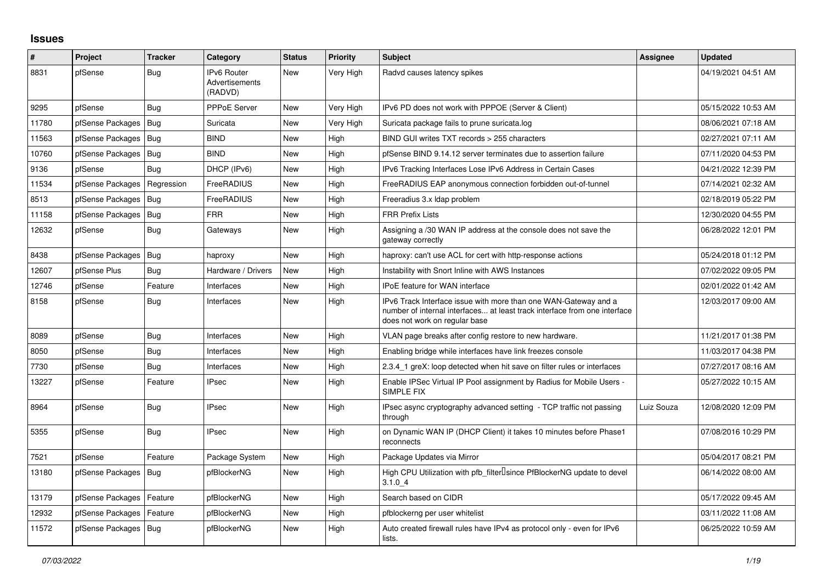## **Issues**

| ∦     | Project                | <b>Tracker</b> | Category                                        | <b>Status</b> | <b>Priority</b> | <b>Subject</b>                                                                                                                                                                | <b>Assignee</b> | <b>Updated</b>      |
|-------|------------------------|----------------|-------------------------------------------------|---------------|-----------------|-------------------------------------------------------------------------------------------------------------------------------------------------------------------------------|-----------------|---------------------|
| 8831  | pfSense                | <b>Bug</b>     | <b>IPv6 Router</b><br>Advertisements<br>(RADVD) | <b>New</b>    | Very High       | Radvd causes latency spikes                                                                                                                                                   |                 | 04/19/2021 04:51 AM |
| 9295  | pfSense                | <b>Bug</b>     | PPPoE Server                                    | New           | Very High       | IPv6 PD does not work with PPPOE (Server & Client)                                                                                                                            |                 | 05/15/2022 10:53 AM |
| 11780 | pfSense Packages   Bug |                | Suricata                                        | <b>New</b>    | Very High       | Suricata package fails to prune suricata.log                                                                                                                                  |                 | 08/06/2021 07:18 AM |
| 11563 | pfSense Packages       | Bug            | <b>BIND</b>                                     | <b>New</b>    | High            | BIND GUI writes TXT records > 255 characters                                                                                                                                  |                 | 02/27/2021 07:11 AM |
| 10760 | pfSense Packages       | Bug            | <b>BIND</b>                                     | <b>New</b>    | High            | pfSense BIND 9.14.12 server terminates due to assertion failure                                                                                                               |                 | 07/11/2020 04:53 PM |
| 9136  | pfSense                | Bug            | DHCP (IPv6)                                     | <b>New</b>    | High            | IPv6 Tracking Interfaces Lose IPv6 Address in Certain Cases                                                                                                                   |                 | 04/21/2022 12:39 PM |
| 11534 | pfSense Packages       | Regression     | FreeRADIUS                                      | <b>New</b>    | High            | FreeRADIUS EAP anonymous connection forbidden out-of-tunnel                                                                                                                   |                 | 07/14/2021 02:32 AM |
| 8513  | pfSense Packages   Bug |                | FreeRADIUS                                      | New           | High            | Freeradius 3.x Idap problem                                                                                                                                                   |                 | 02/18/2019 05:22 PM |
| 11158 | pfSense Packages   Bug |                | <b>FRR</b>                                      | <b>New</b>    | High            | <b>FRR Prefix Lists</b>                                                                                                                                                       |                 | 12/30/2020 04:55 PM |
| 12632 | pfSense                | Bug            | Gateways                                        | <b>New</b>    | High            | Assigning a /30 WAN IP address at the console does not save the<br>gateway correctly                                                                                          |                 | 06/28/2022 12:01 PM |
| 8438  | pfSense Packages       | Bug            | haproxy                                         | New           | High            | haproxy: can't use ACL for cert with http-response actions                                                                                                                    |                 | 05/24/2018 01:12 PM |
| 12607 | pfSense Plus           | Bug            | Hardware / Drivers                              | <b>New</b>    | High            | Instability with Snort Inline with AWS Instances                                                                                                                              |                 | 07/02/2022 09:05 PM |
| 12746 | pfSense                | Feature        | Interfaces                                      | <b>New</b>    | High            | <b>IPoE</b> feature for WAN interface                                                                                                                                         |                 | 02/01/2022 01:42 AM |
| 8158  | pfSense                | <b>Bug</b>     | Interfaces                                      | <b>New</b>    | High            | IPv6 Track Interface issue with more than one WAN-Gateway and a<br>number of internal interfaces at least track interface from one interface<br>does not work on regular base |                 | 12/03/2017 09:00 AM |
| 8089  | pfSense                | Bug            | Interfaces                                      | <b>New</b>    | High            | VLAN page breaks after config restore to new hardware.                                                                                                                        |                 | 11/21/2017 01:38 PM |
| 8050  | pfSense                | <b>Bug</b>     | Interfaces                                      | <b>New</b>    | High            | Enabling bridge while interfaces have link freezes console                                                                                                                    |                 | 11/03/2017 04:38 PM |
| 7730  | pfSense                | Bug            | Interfaces                                      | <b>New</b>    | High            | 2.3.4 1 greX: loop detected when hit save on filter rules or interfaces                                                                                                       |                 | 07/27/2017 08:16 AM |
| 13227 | pfSense                | Feature        | <b>IPsec</b>                                    | <b>New</b>    | High            | Enable IPSec Virtual IP Pool assignment by Radius for Mobile Users -<br>SIMPLE FIX                                                                                            |                 | 05/27/2022 10:15 AM |
| 8964  | pfSense                | Bug            | <b>IPsec</b>                                    | <b>New</b>    | High            | IPsec async cryptography advanced setting - TCP traffic not passing<br>through                                                                                                | Luiz Souza      | 12/08/2020 12:09 PM |
| 5355  | pfSense                | Bug            | <b>IPsec</b>                                    | New           | High            | on Dynamic WAN IP (DHCP Client) it takes 10 minutes before Phase1<br>reconnects                                                                                               |                 | 07/08/2016 10:29 PM |
| 7521  | pfSense                | Feature        | Package System                                  | <b>New</b>    | High            | Package Updates via Mirror                                                                                                                                                    |                 | 05/04/2017 08:21 PM |
| 13180 | pfSense Packages       | Bug            | pfBlockerNG                                     | <b>New</b>    | High            | High CPU Utilization with pfb filter <sup>[]</sup> since PfBlockerNG update to devel<br>3.1.04                                                                                |                 | 06/14/2022 08:00 AM |
| 13179 | pfSense Packages       | Feature        | pfBlockerNG                                     | <b>New</b>    | High            | Search based on CIDR                                                                                                                                                          |                 | 05/17/2022 09:45 AM |
| 12932 | pfSense Packages       | Feature        | pfBlockerNG                                     | <b>New</b>    | High            | pfblockerng per user whitelist                                                                                                                                                |                 | 03/11/2022 11:08 AM |
| 11572 | pfSense Packages   Bug |                | pfBlockerNG                                     | <b>New</b>    | High            | Auto created firewall rules have IPv4 as protocol only - even for IPv6<br>lists.                                                                                              |                 | 06/25/2022 10:59 AM |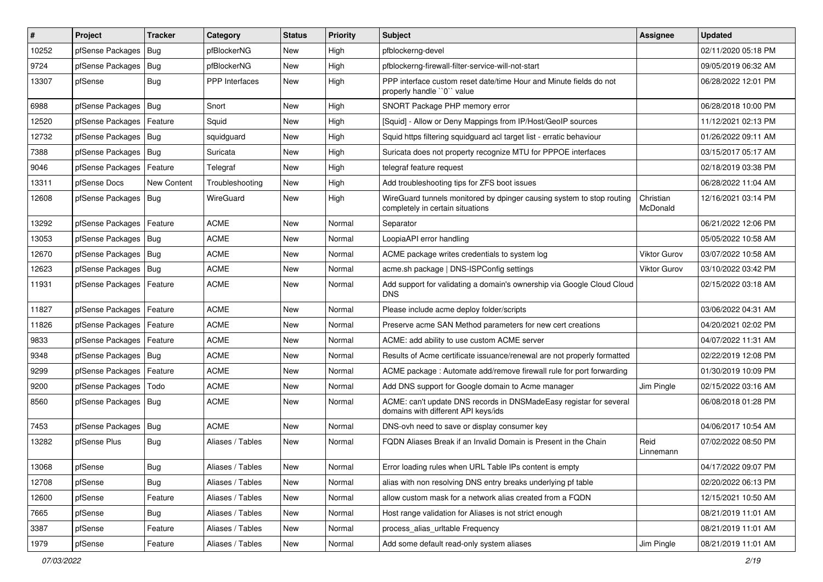| $\vert$ # | Project                    | <b>Tracker</b> | Category         | <b>Status</b> | <b>Priority</b> | Subject                                                                                                   | Assignee              | <b>Updated</b>      |
|-----------|----------------------------|----------------|------------------|---------------|-----------------|-----------------------------------------------------------------------------------------------------------|-----------------------|---------------------|
| 10252     | pfSense Packages           | Bug            | pfBlockerNG      | New           | High            | pfblockerng-devel                                                                                         |                       | 02/11/2020 05:18 PM |
| 9724      | pfSense Packages           | Bug            | pfBlockerNG      | <b>New</b>    | High            | pfblockerng-firewall-filter-service-will-not-start                                                        |                       | 09/05/2019 06:32 AM |
| 13307     | pfSense                    | Bug            | PPP Interfaces   | New           | High            | PPP interface custom reset date/time Hour and Minute fields do not<br>properly handle "0" value           |                       | 06/28/2022 12:01 PM |
| 6988      | pfSense Packages           | Bug            | Snort            | New           | High            | SNORT Package PHP memory error                                                                            |                       | 06/28/2018 10:00 PM |
| 12520     | pfSense Packages           | Feature        | Squid            | <b>New</b>    | High            | [Squid] - Allow or Deny Mappings from IP/Host/GeoIP sources                                               |                       | 11/12/2021 02:13 PM |
| 12732     | pfSense Packages   Bug     |                | squidguard       | New           | High            | Squid https filtering squidguard acl target list - erratic behaviour                                      |                       | 01/26/2022 09:11 AM |
| 7388      | pfSense Packages           | Bug            | Suricata         | New           | High            | Suricata does not property recognize MTU for PPPOE interfaces                                             |                       | 03/15/2017 05:17 AM |
| 9046      | pfSense Packages           | Feature        | Telegraf         | New           | High            | telegraf feature request                                                                                  |                       | 02/18/2019 03:38 PM |
| 13311     | pfSense Docs               | New Content    | Troubleshooting  | <b>New</b>    | High            | Add troubleshooting tips for ZFS boot issues                                                              |                       | 06/28/2022 11:04 AM |
| 12608     | pfSense Packages           | Bug            | WireGuard        | New           | High            | WireGuard tunnels monitored by dpinger causing system to stop routing<br>completely in certain situations | Christian<br>McDonald | 12/16/2021 03:14 PM |
| 13292     | pfSense Packages           | Feature        | <b>ACME</b>      | <b>New</b>    | Normal          | Separator                                                                                                 |                       | 06/21/2022 12:06 PM |
| 13053     | pfSense Packages           | Bug            | <b>ACME</b>      | <b>New</b>    | Normal          | LoopiaAPI error handling                                                                                  |                       | 05/05/2022 10:58 AM |
| 12670     | pfSense Packages   Bug     |                | <b>ACME</b>      | New           | Normal          | ACME package writes credentials to system log                                                             | <b>Viktor Gurov</b>   | 03/07/2022 10:58 AM |
| 12623     | pfSense Packages   Bug     |                | <b>ACME</b>      | <b>New</b>    | Normal          | acme.sh package   DNS-ISPConfig settings                                                                  | Viktor Gurov          | 03/10/2022 03:42 PM |
| 11931     | pfSense Packages   Feature |                | <b>ACME</b>      | New           | Normal          | Add support for validating a domain's ownership via Google Cloud Cloud<br><b>DNS</b>                      |                       | 02/15/2022 03:18 AM |
| 11827     | pfSense Packages           | Feature        | <b>ACME</b>      | New           | Normal          | Please include acme deploy folder/scripts                                                                 |                       | 03/06/2022 04:31 AM |
| 11826     | pfSense Packages   Feature |                | <b>ACME</b>      | <b>New</b>    | Normal          | Preserve acme SAN Method parameters for new cert creations                                                |                       | 04/20/2021 02:02 PM |
| 9833      | pfSense Packages           | Feature        | <b>ACME</b>      | <b>New</b>    | Normal          | ACME: add ability to use custom ACME server                                                               |                       | 04/07/2022 11:31 AM |
| 9348      | pfSense Packages           | Bug            | <b>ACME</b>      | New           | Normal          | Results of Acme certificate issuance/renewal are not properly formatted                                   |                       | 02/22/2019 12:08 PM |
| 9299      | pfSense Packages           | Feature        | <b>ACME</b>      | <b>New</b>    | Normal          | ACME package: Automate add/remove firewall rule for port forwarding                                       |                       | 01/30/2019 10:09 PM |
| 9200      | pfSense Packages           | Todo           | <b>ACME</b>      | New           | Normal          | Add DNS support for Google domain to Acme manager                                                         | Jim Pingle            | 02/15/2022 03:16 AM |
| 8560      | pfSense Packages   Bug     |                | <b>ACME</b>      | New           | Normal          | ACME: can't update DNS records in DNSMadeEasy registar for several<br>domains with different API keys/ids |                       | 06/08/2018 01:28 PM |
| 7453      | pfSense Packages           | <b>Bug</b>     | <b>ACME</b>      | <b>New</b>    | Normal          | DNS-ovh need to save or display consumer key                                                              |                       | 04/06/2017 10:54 AM |
| 13282     | pfSense Plus               | Bug            | Aliases / Tables | New           | Normal          | FQDN Aliases Break if an Invalid Domain is Present in the Chain                                           | Reid<br>Linnemann     | 07/02/2022 08:50 PM |
| 13068     | pfSense                    | Bug            | Aliases / Tables | New           | Normal          | Error loading rules when URL Table IPs content is empty                                                   |                       | 04/17/2022 09:07 PM |
| 12708     | pfSense                    | Bug            | Aliases / Tables | New           | Normal          | alias with non resolving DNS entry breaks underlying pf table                                             |                       | 02/20/2022 06:13 PM |
| 12600     | pfSense                    | Feature        | Aliases / Tables | New           | Normal          | allow custom mask for a network alias created from a FQDN                                                 |                       | 12/15/2021 10:50 AM |
| 7665      | pfSense                    | <b>Bug</b>     | Aliases / Tables | New           | Normal          | Host range validation for Aliases is not strict enough                                                    |                       | 08/21/2019 11:01 AM |
| 3387      | pfSense                    | Feature        | Aliases / Tables | New           | Normal          | process alias urltable Frequency                                                                          |                       | 08/21/2019 11:01 AM |
| 1979      | pfSense                    | Feature        | Aliases / Tables | New           | Normal          | Add some default read-only system aliases                                                                 | Jim Pingle            | 08/21/2019 11:01 AM |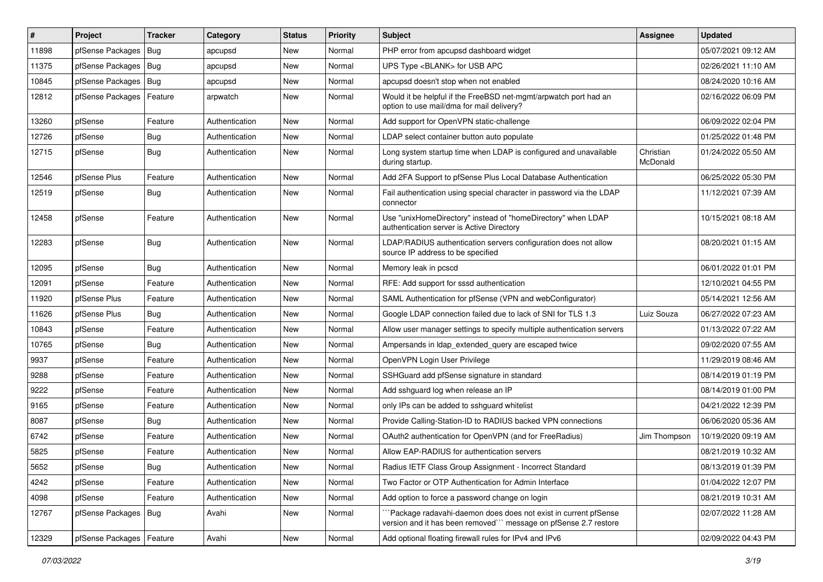| $\vert$ # | Project                    | <b>Tracker</b> | Category       | <b>Status</b> | <b>Priority</b> | Subject                                                                                                                             | Assignee              | <b>Updated</b>      |
|-----------|----------------------------|----------------|----------------|---------------|-----------------|-------------------------------------------------------------------------------------------------------------------------------------|-----------------------|---------------------|
| 11898     | pfSense Packages           | Bug            | apcupsd        | New           | Normal          | PHP error from apcupsd dashboard widget                                                                                             |                       | 05/07/2021 09:12 AM |
| 11375     | pfSense Packages   Bug     |                | apcupsd        | New           | Normal          | UPS Type <blank> for USB APC</blank>                                                                                                |                       | 02/26/2021 11:10 AM |
| 10845     | pfSense Packages   Bug     |                | apcupsd        | New           | Normal          | apcupsd doesn't stop when not enabled                                                                                               |                       | 08/24/2020 10:16 AM |
| 12812     | pfSense Packages           | Feature        | arpwatch       | New           | Normal          | Would it be helpful if the FreeBSD net-mgmt/arpwatch port had an<br>option to use mail/dma for mail delivery?                       |                       | 02/16/2022 06:09 PM |
| 13260     | pfSense                    | Feature        | Authentication | New           | Normal          | Add support for OpenVPN static-challenge                                                                                            |                       | 06/09/2022 02:04 PM |
| 12726     | pfSense                    | <b>Bug</b>     | Authentication | New           | Normal          | LDAP select container button auto populate                                                                                          |                       | 01/25/2022 01:48 PM |
| 12715     | pfSense                    | <b>Bug</b>     | Authentication | <b>New</b>    | Normal          | Long system startup time when LDAP is configured and unavailable<br>during startup.                                                 | Christian<br>McDonald | 01/24/2022 05:50 AM |
| 12546     | pfSense Plus               | Feature        | Authentication | New           | Normal          | Add 2FA Support to pfSense Plus Local Database Authentication                                                                       |                       | 06/25/2022 05:30 PM |
| 12519     | pfSense                    | <b>Bug</b>     | Authentication | New           | Normal          | Fail authentication using special character in password via the LDAP<br>connector                                                   |                       | 11/12/2021 07:39 AM |
| 12458     | pfSense                    | Feature        | Authentication | New           | Normal          | Use "unixHomeDirectory" instead of "homeDirectory" when LDAP<br>authentication server is Active Directory                           |                       | 10/15/2021 08:18 AM |
| 12283     | pfSense                    | <b>Bug</b>     | Authentication | <b>New</b>    | Normal          | LDAP/RADIUS authentication servers configuration does not allow<br>source IP address to be specified                                |                       | 08/20/2021 01:15 AM |
| 12095     | pfSense                    | Bug            | Authentication | <b>New</b>    | Normal          | Memory leak in pcscd                                                                                                                |                       | 06/01/2022 01:01 PM |
| 12091     | pfSense                    | Feature        | Authentication | New           | Normal          | RFE: Add support for sssd authentication                                                                                            |                       | 12/10/2021 04:55 PM |
| 11920     | pfSense Plus               | Feature        | Authentication | New           | Normal          | SAML Authentication for pfSense (VPN and webConfigurator)                                                                           |                       | 05/14/2021 12:56 AM |
| 11626     | pfSense Plus               | Bug            | Authentication | New           | Normal          | Google LDAP connection failed due to lack of SNI for TLS 1.3                                                                        | Luiz Souza            | 06/27/2022 07:23 AM |
| 10843     | pfSense                    | Feature        | Authentication | New           | Normal          | Allow user manager settings to specify multiple authentication servers                                                              |                       | 01/13/2022 07:22 AM |
| 10765     | pfSense                    | Bug            | Authentication | New           | Normal          | Ampersands in Idap extended query are escaped twice                                                                                 |                       | 09/02/2020 07:55 AM |
| 9937      | pfSense                    | Feature        | Authentication | New           | Normal          | OpenVPN Login User Privilege                                                                                                        |                       | 11/29/2019 08:46 AM |
| 9288      | pfSense                    | Feature        | Authentication | New           | Normal          | SSHGuard add pfSense signature in standard                                                                                          |                       | 08/14/2019 01:19 PM |
| 9222      | pfSense                    | Feature        | Authentication | New           | Normal          | Add sshguard log when release an IP                                                                                                 |                       | 08/14/2019 01:00 PM |
| 9165      | pfSense                    | Feature        | Authentication | <b>New</b>    | Normal          | only IPs can be added to sshguard whitelist                                                                                         |                       | 04/21/2022 12:39 PM |
| 8087      | pfSense                    | Bug            | Authentication | New           | Normal          | Provide Calling-Station-ID to RADIUS backed VPN connections                                                                         |                       | 06/06/2020 05:36 AM |
| 6742      | pfSense                    | Feature        | Authentication | <b>New</b>    | Normal          | OAuth2 authentication for OpenVPN (and for FreeRadius)                                                                              | Jim Thompson          | 10/19/2020 09:19 AM |
| 5825      | pfSense                    | Feature        | Authentication | <b>New</b>    | Normal          | Allow EAP-RADIUS for authentication servers                                                                                         |                       | 08/21/2019 10:32 AM |
| 5652      | pfSense                    | Bug            | Authentication | New           | Normal          | Radius IETF Class Group Assignment - Incorrect Standard                                                                             |                       | 08/13/2019 01:39 PM |
| 4242      | pfSense                    | Feature        | Authentication | New           | Normal          | Two Factor or OTP Authentication for Admin Interface                                                                                |                       | 01/04/2022 12:07 PM |
| 4098      | pfSense                    | Feature        | Authentication | New           | Normal          | Add option to force a password change on login                                                                                      |                       | 08/21/2019 10:31 AM |
| 12767     | pfSense Packages   Bug     |                | Avahi          | New           | Normal          | `Package radavahi-daemon does does not exist in current pfSense<br>version and it has been removed"" message on pfSense 2.7 restore |                       | 02/07/2022 11:28 AM |
| 12329     | pfSense Packages   Feature |                | Avahi          | New           | Normal          | Add optional floating firewall rules for IPv4 and IPv6                                                                              |                       | 02/09/2022 04:43 PM |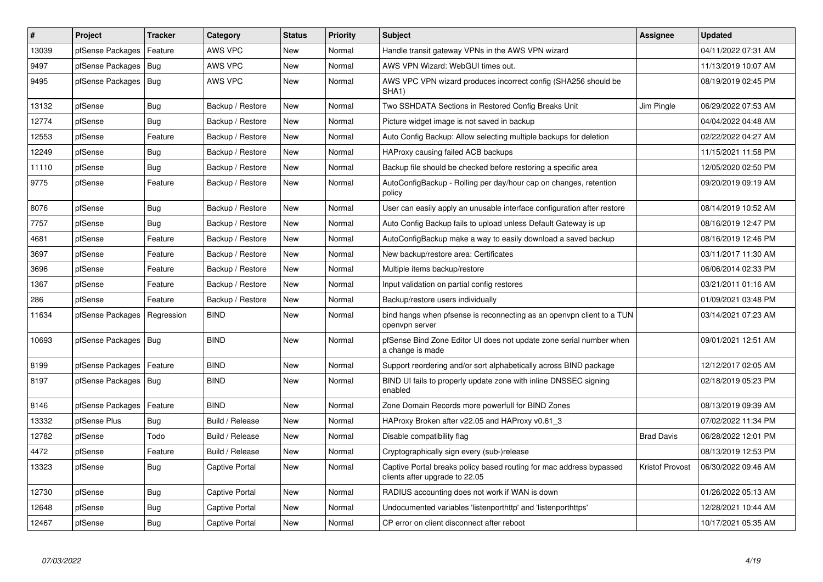| $\vert$ # | Project                | <b>Tracker</b> | Category              | <b>Status</b> | Priority | <b>Subject</b>                                                                                        | <b>Assignee</b>        | <b>Updated</b>      |
|-----------|------------------------|----------------|-----------------------|---------------|----------|-------------------------------------------------------------------------------------------------------|------------------------|---------------------|
| 13039     | pfSense Packages       | Feature        | AWS VPC               | <b>New</b>    | Normal   | Handle transit gateway VPNs in the AWS VPN wizard                                                     |                        | 04/11/2022 07:31 AM |
| 9497      | pfSense Packages       | Bug            | <b>AWS VPC</b>        | <b>New</b>    | Normal   | AWS VPN Wizard: WebGUI times out.                                                                     |                        | 11/13/2019 10:07 AM |
| 9495      | pfSense Packages   Bug |                | AWS VPC               | <b>New</b>    | Normal   | AWS VPC VPN wizard produces incorrect config (SHA256 should be<br>SHA1)                               |                        | 08/19/2019 02:45 PM |
| 13132     | pfSense                | Bug            | Backup / Restore      | <b>New</b>    | Normal   | Two SSHDATA Sections in Restored Config Breaks Unit                                                   | Jim Pingle             | 06/29/2022 07:53 AM |
| 12774     | pfSense                | Bug            | Backup / Restore      | <b>New</b>    | Normal   | Picture widget image is not saved in backup                                                           |                        | 04/04/2022 04:48 AM |
| 12553     | pfSense                | Feature        | Backup / Restore      | <b>New</b>    | Normal   | Auto Config Backup: Allow selecting multiple backups for deletion                                     |                        | 02/22/2022 04:27 AM |
| 12249     | pfSense                | <b>Bug</b>     | Backup / Restore      | <b>New</b>    | Normal   | HAProxy causing failed ACB backups                                                                    |                        | 11/15/2021 11:58 PM |
| 11110     | pfSense                | Bug            | Backup / Restore      | New           | Normal   | Backup file should be checked before restoring a specific area                                        |                        | 12/05/2020 02:50 PM |
| 9775      | pfSense                | Feature        | Backup / Restore      | New           | Normal   | AutoConfigBackup - Rolling per day/hour cap on changes, retention<br>policy                           |                        | 09/20/2019 09:19 AM |
| 8076      | pfSense                | <b>Bug</b>     | Backup / Restore      | <b>New</b>    | Normal   | User can easily apply an unusable interface configuration after restore                               |                        | 08/14/2019 10:52 AM |
| 7757      | pfSense                | Bug            | Backup / Restore      | New           | Normal   | Auto Config Backup fails to upload unless Default Gateway is up                                       |                        | 08/16/2019 12:47 PM |
| 4681      | pfSense                | Feature        | Backup / Restore      | <b>New</b>    | Normal   | AutoConfigBackup make a way to easily download a saved backup                                         |                        | 08/16/2019 12:46 PM |
| 3697      | pfSense                | Feature        | Backup / Restore      | New           | Normal   | New backup/restore area: Certificates                                                                 |                        | 03/11/2017 11:30 AM |
| 3696      | pfSense                | Feature        | Backup / Restore      | <b>New</b>    | Normal   | Multiple items backup/restore                                                                         |                        | 06/06/2014 02:33 PM |
| 1367      | pfSense                | Feature        | Backup / Restore      | New           | Normal   | Input validation on partial config restores                                                           |                        | 03/21/2011 01:16 AM |
| 286       | pfSense                | Feature        | Backup / Restore      | <b>New</b>    | Normal   | Backup/restore users individually                                                                     |                        | 01/09/2021 03:48 PM |
| 11634     | pfSense Packages       | Regression     | <b>BIND</b>           | <b>New</b>    | Normal   | bind hangs when pfsense is reconnecting as an openvpn client to a TUN<br>openvpn server               |                        | 03/14/2021 07:23 AM |
| 10693     | pfSense Packages       | Bug            | <b>BIND</b>           | <b>New</b>    | Normal   | pfSense Bind Zone Editor UI does not update zone serial number when<br>a change is made               |                        | 09/01/2021 12:51 AM |
| 8199      | pfSense Packages       | Feature        | <b>BIND</b>           | New           | Normal   | Support reordering and/or sort alphabetically across BIND package                                     |                        | 12/12/2017 02:05 AM |
| 8197      | pfSense Packages       | <b>Bug</b>     | <b>BIND</b>           | <b>New</b>    | Normal   | BIND UI fails to properly update zone with inline DNSSEC signing<br>enabled                           |                        | 02/18/2019 05:23 PM |
| 8146      | pfSense Packages       | Feature        | <b>BIND</b>           | <b>New</b>    | Normal   | Zone Domain Records more powerfull for BIND Zones                                                     |                        | 08/13/2019 09:39 AM |
| 13332     | pfSense Plus           | Bug            | Build / Release       | <b>New</b>    | Normal   | HAProxy Broken after v22.05 and HAProxy v0.61 3                                                       |                        | 07/02/2022 11:34 PM |
| 12782     | pfSense                | Todo           | Build / Release       | <b>New</b>    | Normal   | Disable compatibility flag                                                                            | <b>Brad Davis</b>      | 06/28/2022 12:01 PM |
| 4472      | pfSense                | Feature        | Build / Release       | <b>New</b>    | Normal   | Cryptographically sign every (sub-)release                                                            |                        | 08/13/2019 12:53 PM |
| 13323     | pfSense                | Bug            | Captive Portal        | <b>New</b>    | Normal   | Captive Portal breaks policy based routing for mac address bypassed<br>clients after upgrade to 22.05 | <b>Kristof Provost</b> | 06/30/2022 09:46 AM |
| 12730     | pfSense                | Bug            | Captive Portal        | <b>New</b>    | Normal   | RADIUS accounting does not work if WAN is down                                                        |                        | 01/26/2022 05:13 AM |
| 12648     | pfSense                | Bug            | Captive Portal        | <b>New</b>    | Normal   | Undocumented variables 'listenporthttp' and 'listenporthttps'                                         |                        | 12/28/2021 10:44 AM |
| 12467     | pfSense                | <b>Bug</b>     | <b>Captive Portal</b> | <b>New</b>    | Normal   | CP error on client disconnect after reboot                                                            |                        | 10/17/2021 05:35 AM |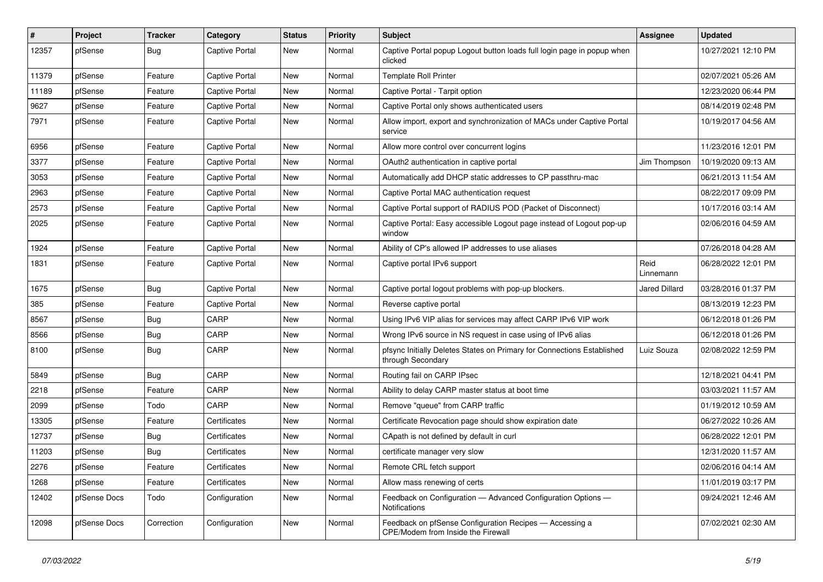| #     | Project      | <b>Tracker</b> | Category              | <b>Status</b> | <b>Priority</b> | <b>Subject</b>                                                                                       | Assignee             | <b>Updated</b>      |
|-------|--------------|----------------|-----------------------|---------------|-----------------|------------------------------------------------------------------------------------------------------|----------------------|---------------------|
| 12357 | pfSense      | Bug            | <b>Captive Portal</b> | New           | Normal          | Captive Portal popup Logout button loads full login page in popup when<br>clicked                    |                      | 10/27/2021 12:10 PM |
| 11379 | pfSense      | Feature        | <b>Captive Portal</b> | New           | Normal          | <b>Template Roll Printer</b>                                                                         |                      | 02/07/2021 05:26 AM |
| 11189 | pfSense      | Feature        | <b>Captive Portal</b> | New           | Normal          | Captive Portal - Tarpit option                                                                       |                      | 12/23/2020 06:44 PM |
| 9627  | pfSense      | Feature        | <b>Captive Portal</b> | <b>New</b>    | Normal          | Captive Portal only shows authenticated users                                                        |                      | 08/14/2019 02:48 PM |
| 7971  | pfSense      | Feature        | <b>Captive Portal</b> | New           | Normal          | Allow import, export and synchronization of MACs under Captive Portal<br>service                     |                      | 10/19/2017 04:56 AM |
| 6956  | pfSense      | Feature        | Captive Portal        | New           | Normal          | Allow more control over concurrent logins                                                            |                      | 11/23/2016 12:01 PM |
| 3377  | pfSense      | Feature        | <b>Captive Portal</b> | New           | Normal          | OAuth2 authentication in captive portal                                                              | Jim Thompson         | 10/19/2020 09:13 AM |
| 3053  | pfSense      | Feature        | <b>Captive Portal</b> | New           | Normal          | Automatically add DHCP static addresses to CP passthru-mac                                           |                      | 06/21/2013 11:54 AM |
| 2963  | pfSense      | Feature        | <b>Captive Portal</b> | New           | Normal          | Captive Portal MAC authentication request                                                            |                      | 08/22/2017 09:09 PM |
| 2573  | pfSense      | Feature        | <b>Captive Portal</b> | New           | Normal          | Captive Portal support of RADIUS POD (Packet of Disconnect)                                          |                      | 10/17/2016 03:14 AM |
| 2025  | pfSense      | Feature        | <b>Captive Portal</b> | <b>New</b>    | Normal          | Captive Portal: Easy accessible Logout page instead of Logout pop-up<br>window                       |                      | 02/06/2016 04:59 AM |
| 1924  | pfSense      | Feature        | <b>Captive Portal</b> | New           | Normal          | Ability of CP's allowed IP addresses to use aliases                                                  |                      | 07/26/2018 04:28 AM |
| 1831  | pfSense      | Feature        | <b>Captive Portal</b> | New           | Normal          | Captive portal IPv6 support                                                                          | Reid<br>Linnemann    | 06/28/2022 12:01 PM |
| 1675  | pfSense      | Bug            | <b>Captive Portal</b> | New           | Normal          | Captive portal logout problems with pop-up blockers.                                                 | <b>Jared Dillard</b> | 03/28/2016 01:37 PM |
| 385   | pfSense      | Feature        | <b>Captive Portal</b> | New           | Normal          | Reverse captive portal                                                                               |                      | 08/13/2019 12:23 PM |
| 8567  | pfSense      | Bug            | CARP                  | New           | Normal          | Using IPv6 VIP alias for services may affect CARP IPv6 VIP work                                      |                      | 06/12/2018 01:26 PM |
| 8566  | pfSense      | Bug            | CARP                  | New           | Normal          | Wrong IPv6 source in NS request in case using of IPv6 alias                                          |                      | 06/12/2018 01:26 PM |
| 8100  | pfSense      | Bug            | CARP                  | New           | Normal          | pfsync Initially Deletes States on Primary for Connections Established<br>through Secondary          | Luiz Souza           | 02/08/2022 12:59 PM |
| 5849  | pfSense      | Bug            | CARP                  | New           | Normal          | Routing fail on CARP IPsec                                                                           |                      | 12/18/2021 04:41 PM |
| 2218  | pfSense      | Feature        | CARP                  | New           | Normal          | Ability to delay CARP master status at boot time                                                     |                      | 03/03/2021 11:57 AM |
| 2099  | pfSense      | Todo           | CARP                  | New           | Normal          | Remove "queue" from CARP traffic                                                                     |                      | 01/19/2012 10:59 AM |
| 13305 | pfSense      | Feature        | Certificates          | New           | Normal          | Certificate Revocation page should show expiration date                                              |                      | 06/27/2022 10:26 AM |
| 12737 | pfSense      | Bug            | Certificates          | New           | Normal          | CApath is not defined by default in curl                                                             |                      | 06/28/2022 12:01 PM |
| 11203 | pfSense      | <b>Bug</b>     | Certificates          | New           | Normal          | certificate manager very slow                                                                        |                      | 12/31/2020 11:57 AM |
| 2276  | pfSense      | Feature        | Certificates          | New           | Normal          | Remote CRL fetch support                                                                             |                      | 02/06/2016 04:14 AM |
| 1268  | pfSense      | Feature        | Certificates          | New           | Normal          | Allow mass renewing of certs                                                                         |                      | 11/01/2019 03:17 PM |
| 12402 | pfSense Docs | Todo           | Configuration         | New           | Normal          | Feedback on Configuration - Advanced Configuration Options -<br>Notifications                        |                      | 09/24/2021 12:46 AM |
| 12098 | pfSense Docs | Correction     | Configuration         | New           | Normal          | Feedback on pfSense Configuration Recipes - Accessing a<br><b>CPE/Modem from Inside the Firewall</b> |                      | 07/02/2021 02:30 AM |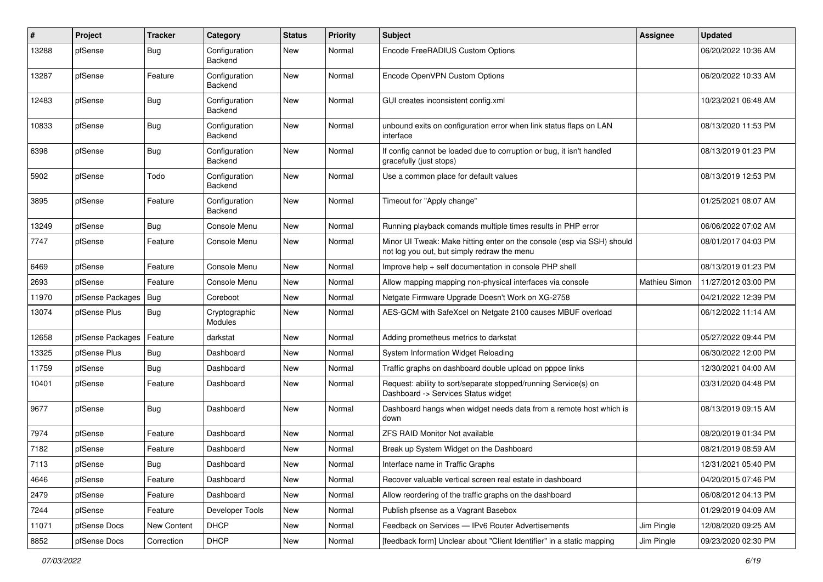| ∦     | Project          | <b>Tracker</b>     | Category                 | <b>Status</b> | <b>Priority</b> | Subject                                                                                                               | <b>Assignee</b> | <b>Updated</b>      |
|-------|------------------|--------------------|--------------------------|---------------|-----------------|-----------------------------------------------------------------------------------------------------------------------|-----------------|---------------------|
| 13288 | pfSense          | Bug                | Configuration<br>Backend | <b>New</b>    | Normal          | Encode FreeRADIUS Custom Options                                                                                      |                 | 06/20/2022 10:36 AM |
| 13287 | pfSense          | Feature            | Configuration<br>Backend | New           | Normal          | Encode OpenVPN Custom Options                                                                                         |                 | 06/20/2022 10:33 AM |
| 12483 | pfSense          | <b>Bug</b>         | Configuration<br>Backend | <b>New</b>    | Normal          | GUI creates inconsistent config.xml                                                                                   |                 | 10/23/2021 06:48 AM |
| 10833 | pfSense          | <b>Bug</b>         | Configuration<br>Backend | <b>New</b>    | Normal          | unbound exits on configuration error when link status flaps on LAN<br>interface                                       |                 | 08/13/2020 11:53 PM |
| 6398  | pfSense          | Bug                | Configuration<br>Backend | <b>New</b>    | Normal          | If config cannot be loaded due to corruption or bug, it isn't handled<br>gracefully (just stops)                      |                 | 08/13/2019 01:23 PM |
| 5902  | pfSense          | Todo               | Configuration<br>Backend | <b>New</b>    | Normal          | Use a common place for default values                                                                                 |                 | 08/13/2019 12:53 PM |
| 3895  | pfSense          | Feature            | Configuration<br>Backend | <b>New</b>    | Normal          | Timeout for "Apply change"                                                                                            |                 | 01/25/2021 08:07 AM |
| 13249 | pfSense          | Bug                | Console Menu             | <b>New</b>    | Normal          | Running playback comands multiple times results in PHP error                                                          |                 | 06/06/2022 07:02 AM |
| 7747  | pfSense          | Feature            | Console Menu             | <b>New</b>    | Normal          | Minor UI Tweak: Make hitting enter on the console (esp via SSH) should<br>not log you out, but simply redraw the menu |                 | 08/01/2017 04:03 PM |
| 6469  | pfSense          | Feature            | Console Menu             | <b>New</b>    | Normal          | Improve help + self documentation in console PHP shell                                                                |                 | 08/13/2019 01:23 PM |
| 2693  | pfSense          | Feature            | Console Menu             | <b>New</b>    | Normal          | Allow mapping mapping non-physical interfaces via console                                                             | Mathieu Simon   | 11/27/2012 03:00 PM |
| 11970 | pfSense Packages | Bug                | Coreboot                 | <b>New</b>    | Normal          | Netgate Firmware Upgrade Doesn't Work on XG-2758                                                                      |                 | 04/21/2022 12:39 PM |
| 13074 | pfSense Plus     | Bug                | Cryptographic<br>Modules | <b>New</b>    | Normal          | AES-GCM with SafeXcel on Netgate 2100 causes MBUF overload                                                            |                 | 06/12/2022 11:14 AM |
| 12658 | pfSense Packages | Feature            | darkstat                 | <b>New</b>    | Normal          | Adding prometheus metrics to darkstat                                                                                 |                 | 05/27/2022 09:44 PM |
| 13325 | pfSense Plus     | Bug                | Dashboard                | <b>New</b>    | Normal          | System Information Widget Reloading                                                                                   |                 | 06/30/2022 12:00 PM |
| 11759 | pfSense          | Bug                | Dashboard                | <b>New</b>    | Normal          | Traffic graphs on dashboard double upload on pppoe links                                                              |                 | 12/30/2021 04:00 AM |
| 10401 | pfSense          | Feature            | Dashboard                | <b>New</b>    | Normal          | Request: ability to sort/separate stopped/running Service(s) on<br>Dashboard -> Services Status widget                |                 | 03/31/2020 04:48 PM |
| 9677  | pfSense          | Bug                | Dashboard                | <b>New</b>    | Normal          | Dashboard hangs when widget needs data from a remote host which is<br>down                                            |                 | 08/13/2019 09:15 AM |
| 7974  | pfSense          | Feature            | Dashboard                | <b>New</b>    | Normal          | ZFS RAID Monitor Not available                                                                                        |                 | 08/20/2019 01:34 PM |
| 7182  | pfSense          | Feature            | Dashboard                | <b>New</b>    | Normal          | Break up System Widget on the Dashboard                                                                               |                 | 08/21/2019 08:59 AM |
| 7113  | pfSense          | <b>Bug</b>         | Dashboard                | New           | Normal          | Interface name in Traffic Graphs                                                                                      |                 | 12/31/2021 05:40 PM |
| 4646  | pfSense          | Feature            | Dashboard                | New           | Normal          | Recover valuable vertical screen real estate in dashboard                                                             |                 | 04/20/2015 07:46 PM |
| 2479  | pfSense          | Feature            | Dashboard                | New           | Normal          | Allow reordering of the traffic graphs on the dashboard                                                               |                 | 06/08/2012 04:13 PM |
| 7244  | pfSense          | Feature            | Developer Tools          | New           | Normal          | Publish pfsense as a Vagrant Basebox                                                                                  |                 | 01/29/2019 04:09 AM |
| 11071 | pfSense Docs     | <b>New Content</b> | <b>DHCP</b>              | New           | Normal          | Feedback on Services - IPv6 Router Advertisements                                                                     | Jim Pingle      | 12/08/2020 09:25 AM |
| 8852  | pfSense Docs     | Correction         | DHCP                     | New           | Normal          | [feedback form] Unclear about "Client Identifier" in a static mapping                                                 | Jim Pingle      | 09/23/2020 02:30 PM |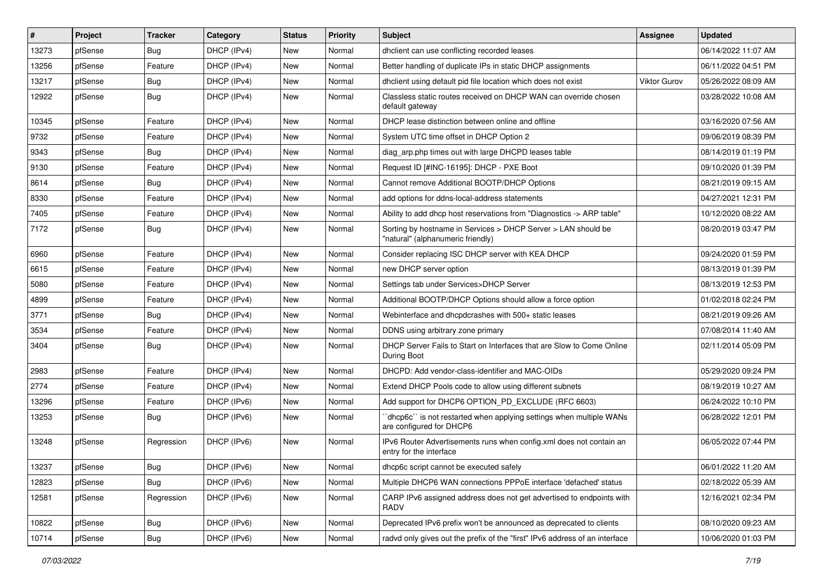| $\pmb{\sharp}$ | Project | <b>Tracker</b> | Category    | <b>Status</b> | Priority | Subject                                                                                            | Assignee            | <b>Updated</b>      |
|----------------|---------|----------------|-------------|---------------|----------|----------------------------------------------------------------------------------------------------|---------------------|---------------------|
| 13273          | pfSense | Bug            | DHCP (IPv4) | New           | Normal   | dhclient can use conflicting recorded leases                                                       |                     | 06/14/2022 11:07 AM |
| 13256          | pfSense | Feature        | DHCP (IPv4) | New           | Normal   | Better handling of duplicate IPs in static DHCP assignments                                        |                     | 06/11/2022 04:51 PM |
| 13217          | pfSense | Bug            | DHCP (IPv4) | New           | Normal   | dhclient using default pid file location which does not exist                                      | <b>Viktor Gurov</b> | 05/26/2022 08:09 AM |
| 12922          | pfSense | Bug            | DHCP (IPv4) | New           | Normal   | Classless static routes received on DHCP WAN can override chosen<br>default gateway                |                     | 03/28/2022 10:08 AM |
| 10345          | pfSense | Feature        | DHCP (IPv4) | New           | Normal   | DHCP lease distinction between online and offline                                                  |                     | 03/16/2020 07:56 AM |
| 9732           | pfSense | Feature        | DHCP (IPv4) | New           | Normal   | System UTC time offset in DHCP Option 2                                                            |                     | 09/06/2019 08:39 PM |
| 9343           | pfSense | Bug            | DHCP (IPv4) | New           | Normal   | diag arp.php times out with large DHCPD leases table                                               |                     | 08/14/2019 01:19 PM |
| 9130           | pfSense | Feature        | DHCP (IPv4) | New           | Normal   | Request ID [#INC-16195]: DHCP - PXE Boot                                                           |                     | 09/10/2020 01:39 PM |
| 8614           | pfSense | Bug            | DHCP (IPv4) | New           | Normal   | Cannot remove Additional BOOTP/DHCP Options                                                        |                     | 08/21/2019 09:15 AM |
| 8330           | pfSense | Feature        | DHCP (IPv4) | New           | Normal   | add options for ddns-local-address statements                                                      |                     | 04/27/2021 12:31 PM |
| 7405           | pfSense | Feature        | DHCP (IPv4) | New           | Normal   | Ability to add dhcp host reservations from "Diagnostics -> ARP table"                              |                     | 10/12/2020 08:22 AM |
| 7172           | pfSense | Bug            | DHCP (IPv4) | New           | Normal   | Sorting by hostname in Services > DHCP Server > LAN should be<br>"natural" (alphanumeric friendly) |                     | 08/20/2019 03:47 PM |
| 6960           | pfSense | Feature        | DHCP (IPv4) | <b>New</b>    | Normal   | Consider replacing ISC DHCP server with KEA DHCP                                                   |                     | 09/24/2020 01:59 PM |
| 6615           | pfSense | Feature        | DHCP (IPv4) | New           | Normal   | new DHCP server option                                                                             |                     | 08/13/2019 01:39 PM |
| 5080           | pfSense | Feature        | DHCP (IPv4) | New           | Normal   | Settings tab under Services>DHCP Server                                                            |                     | 08/13/2019 12:53 PM |
| 4899           | pfSense | Feature        | DHCP (IPv4) | New           | Normal   | Additional BOOTP/DHCP Options should allow a force option                                          |                     | 01/02/2018 02:24 PM |
| 3771           | pfSense | Bug            | DHCP (IPv4) | New           | Normal   | Webinterface and dhcpdcrashes with 500+ static leases                                              |                     | 08/21/2019 09:26 AM |
| 3534           | pfSense | Feature        | DHCP (IPv4) | New           | Normal   | DDNS using arbitrary zone primary                                                                  |                     | 07/08/2014 11:40 AM |
| 3404           | pfSense | Bug            | DHCP (IPv4) | New           | Normal   | DHCP Server Fails to Start on Interfaces that are Slow to Come Online<br>During Boot               |                     | 02/11/2014 05:09 PM |
| 2983           | pfSense | Feature        | DHCP (IPv4) | New           | Normal   | DHCPD: Add vendor-class-identifier and MAC-OIDs                                                    |                     | 05/29/2020 09:24 PM |
| 2774           | pfSense | Feature        | DHCP (IPv4) | New           | Normal   | Extend DHCP Pools code to allow using different subnets                                            |                     | 08/19/2019 10:27 AM |
| 13296          | pfSense | Feature        | DHCP (IPv6) | New           | Normal   | Add support for DHCP6 OPTION_PD_EXCLUDE (RFC 6603)                                                 |                     | 06/24/2022 10:10 PM |
| 13253          | pfSense | Bug            | DHCP (IPv6) | New           | Normal   | 'dhcp6c' is not restarted when applying settings when multiple WANs<br>are configured for DHCP6    |                     | 06/28/2022 12:01 PM |
| 13248          | pfSense | Regression     | DHCP (IPv6) | New           | Normal   | IPv6 Router Advertisements runs when config.xml does not contain an<br>entry for the interface     |                     | 06/05/2022 07:44 PM |
| 13237          | pfSense | Bug            | DHCP (IPv6) | New           | Normal   | dhcp6c script cannot be executed safely                                                            |                     | 06/01/2022 11:20 AM |
| 12823          | pfSense | Bug            | DHCP (IPv6) | New           | Normal   | Multiple DHCP6 WAN connections PPPoE interface 'defached' status                                   |                     | 02/18/2022 05:39 AM |
| 12581          | pfSense | Regression     | DHCP (IPv6) | New           | Normal   | CARP IPv6 assigned address does not get advertised to endpoints with<br>RADV                       |                     | 12/16/2021 02:34 PM |
| 10822          | pfSense | <b>Bug</b>     | DHCP (IPv6) | New           | Normal   | Deprecated IPv6 prefix won't be announced as deprecated to clients                                 |                     | 08/10/2020 09:23 AM |
| 10714          | pfSense | Bug            | DHCP (IPv6) | New           | Normal   | radvd only gives out the prefix of the "first" IPv6 address of an interface                        |                     | 10/06/2020 01:03 PM |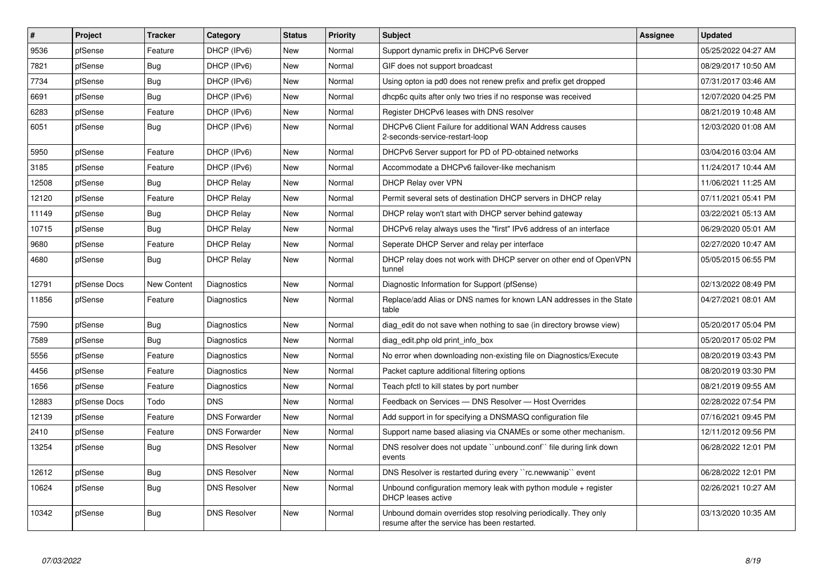| #     | Project      | <b>Tracker</b>     | Category             | <b>Status</b> | <b>Priority</b> | <b>Subject</b>                                                                                                  | <b>Assignee</b> | <b>Updated</b>      |
|-------|--------------|--------------------|----------------------|---------------|-----------------|-----------------------------------------------------------------------------------------------------------------|-----------------|---------------------|
| 9536  | pfSense      | Feature            | DHCP (IPv6)          | <b>New</b>    | Normal          | Support dynamic prefix in DHCPv6 Server                                                                         |                 | 05/25/2022 04:27 AM |
| 7821  | pfSense      | Bug                | DHCP (IPv6)          | <b>New</b>    | Normal          | GIF does not support broadcast                                                                                  |                 | 08/29/2017 10:50 AM |
| 7734  | pfSense      | Bug                | DHCP (IPv6)          | New           | Normal          | Using opton ia pd0 does not renew prefix and prefix get dropped                                                 |                 | 07/31/2017 03:46 AM |
| 6691  | pfSense      | Bug                | DHCP (IPv6)          | New           | Normal          | dhcp6c quits after only two tries if no response was received                                                   |                 | 12/07/2020 04:25 PM |
| 6283  | pfSense      | Feature            | DHCP (IPv6)          | New           | Normal          | Register DHCPv6 leases with DNS resolver                                                                        |                 | 08/21/2019 10:48 AM |
| 6051  | pfSense      | Bug                | DHCP (IPv6)          | New           | Normal          | DHCPv6 Client Failure for additional WAN Address causes<br>2-seconds-service-restart-loop                       |                 | 12/03/2020 01:08 AM |
| 5950  | pfSense      | Feature            | DHCP (IPv6)          | <b>New</b>    | Normal          | DHCPv6 Server support for PD of PD-obtained networks                                                            |                 | 03/04/2016 03:04 AM |
| 3185  | pfSense      | Feature            | DHCP (IPv6)          | New           | Normal          | Accommodate a DHCPv6 failover-like mechanism                                                                    |                 | 11/24/2017 10:44 AM |
| 12508 | pfSense      | <b>Bug</b>         | <b>DHCP Relay</b>    | <b>New</b>    | Normal          | DHCP Relay over VPN                                                                                             |                 | 11/06/2021 11:25 AM |
| 12120 | pfSense      | Feature            | <b>DHCP Relay</b>    | <b>New</b>    | Normal          | Permit several sets of destination DHCP servers in DHCP relay                                                   |                 | 07/11/2021 05:41 PM |
| 11149 | pfSense      | <b>Bug</b>         | <b>DHCP Relay</b>    | <b>New</b>    | Normal          | DHCP relay won't start with DHCP server behind gateway                                                          |                 | 03/22/2021 05:13 AM |
| 10715 | pfSense      | Bug                | <b>DHCP Relay</b>    | New           | Normal          | DHCPv6 relay always uses the "first" IPv6 address of an interface                                               |                 | 06/29/2020 05:01 AM |
| 9680  | pfSense      | Feature            | <b>DHCP Relay</b>    | New           | Normal          | Seperate DHCP Server and relay per interface                                                                    |                 | 02/27/2020 10:47 AM |
| 4680  | pfSense      | <b>Bug</b>         | <b>DHCP Relay</b>    | New           | Normal          | DHCP relay does not work with DHCP server on other end of OpenVPN<br>tunnel                                     |                 | 05/05/2015 06:55 PM |
| 12791 | pfSense Docs | <b>New Content</b> | Diagnostics          | <b>New</b>    | Normal          | Diagnostic Information for Support (pfSense)                                                                    |                 | 02/13/2022 08:49 PM |
| 11856 | pfSense      | Feature            | Diagnostics          | New           | Normal          | Replace/add Alias or DNS names for known LAN addresses in the State<br>table                                    |                 | 04/27/2021 08:01 AM |
| 7590  | pfSense      | Bug                | Diagnostics          | New           | Normal          | diag edit do not save when nothing to sae (in directory browse view)                                            |                 | 05/20/2017 05:04 PM |
| 7589  | pfSense      | Bug                | Diagnostics          | New           | Normal          | diag edit.php old print info box                                                                                |                 | 05/20/2017 05:02 PM |
| 5556  | pfSense      | Feature            | Diagnostics          | New           | Normal          | No error when downloading non-existing file on Diagnostics/Execute                                              |                 | 08/20/2019 03:43 PM |
| 4456  | pfSense      | Feature            | Diagnostics          | New           | Normal          | Packet capture additional filtering options                                                                     |                 | 08/20/2019 03:30 PM |
| 1656  | pfSense      | Feature            | Diagnostics          | New           | Normal          | Teach pfctl to kill states by port number                                                                       |                 | 08/21/2019 09:55 AM |
| 12883 | pfSense Docs | Todo               | <b>DNS</b>           | <b>New</b>    | Normal          | Feedback on Services - DNS Resolver - Host Overrides                                                            |                 | 02/28/2022 07:54 PM |
| 12139 | pfSense      | Feature            | <b>DNS Forwarder</b> | New           | Normal          | Add support in for specifying a DNSMASQ configuration file                                                      |                 | 07/16/2021 09:45 PM |
| 2410  | pfSense      | Feature            | <b>DNS Forwarder</b> | New           | Normal          | Support name based aliasing via CNAMEs or some other mechanism.                                                 |                 | 12/11/2012 09:56 PM |
| 13254 | pfSense      | <b>Bug</b>         | <b>DNS Resolver</b>  | <b>New</b>    | Normal          | DNS resolver does not update "unbound.conf" file during link down<br>events                                     |                 | 06/28/2022 12:01 PM |
| 12612 | pfSense      | Bug                | <b>DNS Resolver</b>  | <b>New</b>    | Normal          | DNS Resolver is restarted during every "rc.newwanip" event                                                      |                 | 06/28/2022 12:01 PM |
| 10624 | pfSense      | <b>Bug</b>         | <b>DNS Resolver</b>  | <b>New</b>    | Normal          | Unbound configuration memory leak with python module + register<br><b>DHCP</b> leases active                    |                 | 02/26/2021 10:27 AM |
| 10342 | pfSense      | <b>Bug</b>         | <b>DNS Resolver</b>  | <b>New</b>    | Normal          | Unbound domain overrides stop resolving periodically. They only<br>resume after the service has been restarted. |                 | 03/13/2020 10:35 AM |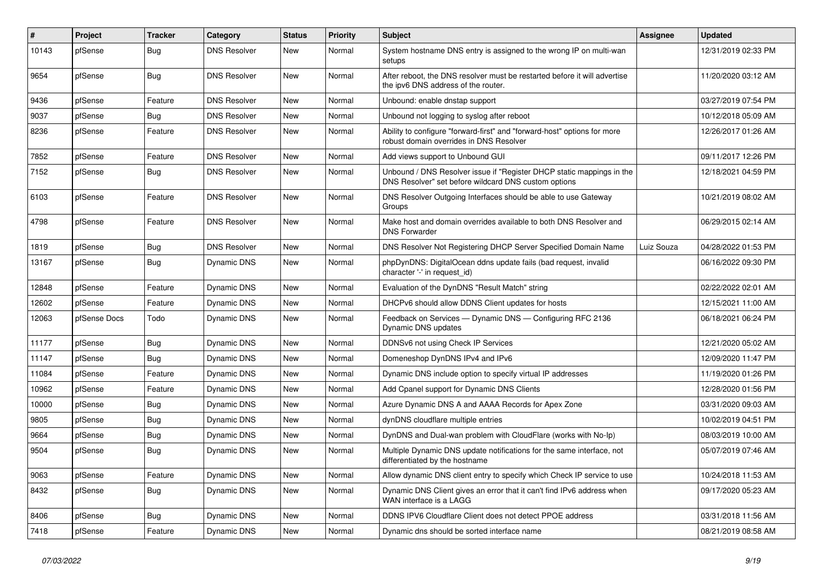| $\vert$ # | Project      | <b>Tracker</b> | Category            | <b>Status</b> | <b>Priority</b> | Subject                                                                                                                       | Assignee   | <b>Updated</b>      |
|-----------|--------------|----------------|---------------------|---------------|-----------------|-------------------------------------------------------------------------------------------------------------------------------|------------|---------------------|
| 10143     | pfSense      | Bug            | <b>DNS Resolver</b> | New           | Normal          | System hostname DNS entry is assigned to the wrong IP on multi-wan<br>setups                                                  |            | 12/31/2019 02:33 PM |
| 9654      | pfSense      | Bug            | <b>DNS Resolver</b> | New           | Normal          | After reboot, the DNS resolver must be restarted before it will advertise<br>the ipv6 DNS address of the router.              |            | 11/20/2020 03:12 AM |
| 9436      | pfSense      | Feature        | <b>DNS Resolver</b> | New           | Normal          | Unbound: enable dnstap support                                                                                                |            | 03/27/2019 07:54 PM |
| 9037      | pfSense      | Bug            | <b>DNS Resolver</b> | <b>New</b>    | Normal          | Unbound not logging to syslog after reboot                                                                                    |            | 10/12/2018 05:09 AM |
| 8236      | pfSense      | Feature        | <b>DNS Resolver</b> | <b>New</b>    | Normal          | Ability to configure "forward-first" and "forward-host" options for more<br>robust domain overrides in DNS Resolver           |            | 12/26/2017 01:26 AM |
| 7852      | pfSense      | Feature        | <b>DNS Resolver</b> | <b>New</b>    | Normal          | Add views support to Unbound GUI                                                                                              |            | 09/11/2017 12:26 PM |
| 7152      | pfSense      | Bug            | <b>DNS Resolver</b> | <b>New</b>    | Normal          | Unbound / DNS Resolver issue if "Register DHCP static mappings in the<br>DNS Resolver" set before wildcard DNS custom options |            | 12/18/2021 04:59 PM |
| 6103      | pfSense      | Feature        | <b>DNS Resolver</b> | <b>New</b>    | Normal          | DNS Resolver Outgoing Interfaces should be able to use Gateway<br>Groups                                                      |            | 10/21/2019 08:02 AM |
| 4798      | pfSense      | Feature        | <b>DNS Resolver</b> | <b>New</b>    | Normal          | Make host and domain overrides available to both DNS Resolver and<br><b>DNS Forwarder</b>                                     |            | 06/29/2015 02:14 AM |
| 1819      | pfSense      | Bug            | <b>DNS Resolver</b> | <b>New</b>    | Normal          | DNS Resolver Not Registering DHCP Server Specified Domain Name                                                                | Luiz Souza | 04/28/2022 01:53 PM |
| 13167     | pfSense      | Bug            | Dynamic DNS         | New           | Normal          | phpDynDNS: DigitalOcean ddns update fails (bad request, invalid<br>character '-' in request_id)                               |            | 06/16/2022 09:30 PM |
| 12848     | pfSense      | Feature        | Dynamic DNS         | New           | Normal          | Evaluation of the DynDNS "Result Match" string                                                                                |            | 02/22/2022 02:01 AM |
| 12602     | pfSense      | Feature        | Dynamic DNS         | New           | Normal          | DHCPv6 should allow DDNS Client updates for hosts                                                                             |            | 12/15/2021 11:00 AM |
| 12063     | pfSense Docs | Todo           | Dynamic DNS         | New           | Normal          | Feedback on Services - Dynamic DNS - Configuring RFC 2136<br>Dynamic DNS updates                                              |            | 06/18/2021 06:24 PM |
| 11177     | pfSense      | Bug            | Dynamic DNS         | New           | Normal          | DDNSv6 not using Check IP Services                                                                                            |            | 12/21/2020 05:02 AM |
| 11147     | pfSense      | Bug            | <b>Dynamic DNS</b>  | <b>New</b>    | Normal          | Domeneshop DynDNS IPv4 and IPv6                                                                                               |            | 12/09/2020 11:47 PM |
| 11084     | pfSense      | Feature        | Dynamic DNS         | New           | Normal          | Dynamic DNS include option to specify virtual IP addresses                                                                    |            | 11/19/2020 01:26 PM |
| 10962     | pfSense      | Feature        | Dynamic DNS         | <b>New</b>    | Normal          | Add Cpanel support for Dynamic DNS Clients                                                                                    |            | 12/28/2020 01:56 PM |
| 10000     | pfSense      | Bug            | Dynamic DNS         | New           | Normal          | Azure Dynamic DNS A and AAAA Records for Apex Zone                                                                            |            | 03/31/2020 09:03 AM |
| 9805      | pfSense      | Bug            | Dynamic DNS         | New           | Normal          | dynDNS cloudflare multiple entries                                                                                            |            | 10/02/2019 04:51 PM |
| 9664      | pfSense      | Bug            | Dynamic DNS         | New           | Normal          | DynDNS and Dual-wan problem with CloudFlare (works with No-Ip)                                                                |            | 08/03/2019 10:00 AM |
| 9504      | pfSense      | Bug            | <b>Dynamic DNS</b>  | New           | Normal          | Multiple Dynamic DNS update notifications for the same interface, not<br>differentiated by the hostname                       |            | 05/07/2019 07:46 AM |
| 9063      | pfSense      | Feature        | Dynamic DNS         | New           | Normal          | Allow dynamic DNS client entry to specify which Check IP service to use                                                       |            | 10/24/2018 11:53 AM |
| 8432      | pfSense      | <b>Bug</b>     | Dynamic DNS         | New           | Normal          | Dynamic DNS Client gives an error that it can't find IPv6 address when<br>WAN interface is a LAGG                             |            | 09/17/2020 05:23 AM |
| 8406      | pfSense      | Bug            | Dynamic DNS         | New           | Normal          | DDNS IPV6 Cloudflare Client does not detect PPOE address                                                                      |            | 03/31/2018 11:56 AM |
| 7418      | pfSense      | Feature        | Dynamic DNS         | New           | Normal          | Dynamic dns should be sorted interface name                                                                                   |            | 08/21/2019 08:58 AM |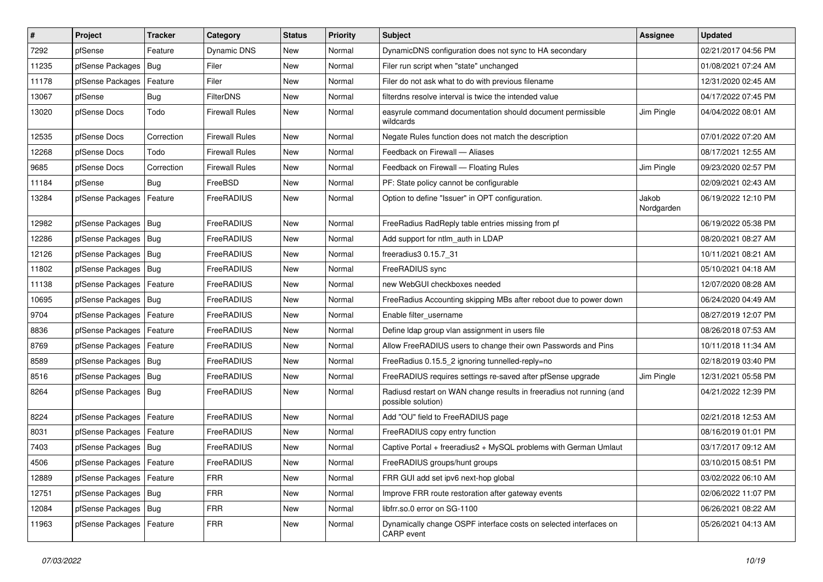| $\vert$ # | Project                    | <b>Tracker</b> | Category              | <b>Status</b> | <b>Priority</b> | <b>Subject</b>                                                                             | Assignee            | <b>Updated</b>      |
|-----------|----------------------------|----------------|-----------------------|---------------|-----------------|--------------------------------------------------------------------------------------------|---------------------|---------------------|
| 7292      | pfSense                    | Feature        | Dynamic DNS           | New           | Normal          | DynamicDNS configuration does not sync to HA secondary                                     |                     | 02/21/2017 04:56 PM |
| 11235     | pfSense Packages           | <b>Bug</b>     | Filer                 | New           | Normal          | Filer run script when "state" unchanged                                                    |                     | 01/08/2021 07:24 AM |
| 11178     | pfSense Packages           | Feature        | Filer                 | New           | Normal          | Filer do not ask what to do with previous filename                                         |                     | 12/31/2020 02:45 AM |
| 13067     | pfSense                    | <b>Bug</b>     | <b>FilterDNS</b>      | <b>New</b>    | Normal          | filterdns resolve interval is twice the intended value                                     |                     | 04/17/2022 07:45 PM |
| 13020     | pfSense Docs               | Todo           | <b>Firewall Rules</b> | New           | Normal          | easyrule command documentation should document permissible<br>wildcards                    | Jim Pingle          | 04/04/2022 08:01 AM |
| 12535     | pfSense Docs               | Correction     | <b>Firewall Rules</b> | New           | Normal          | Negate Rules function does not match the description                                       |                     | 07/01/2022 07:20 AM |
| 12268     | pfSense Docs               | Todo           | <b>Firewall Rules</b> | <b>New</b>    | Normal          | Feedback on Firewall - Aliases                                                             |                     | 08/17/2021 12:55 AM |
| 9685      | pfSense Docs               | Correction     | <b>Firewall Rules</b> | New           | Normal          | Feedback on Firewall - Floating Rules                                                      | Jim Pingle          | 09/23/2020 02:57 PM |
| 11184     | pfSense                    | Bug            | FreeBSD               | New           | Normal          | PF: State policy cannot be configurable                                                    |                     | 02/09/2021 02:43 AM |
| 13284     | pfSense Packages           | Feature        | FreeRADIUS            | New           | Normal          | Option to define "Issuer" in OPT configuration.                                            | Jakob<br>Nordgarden | 06/19/2022 12:10 PM |
| 12982     | pfSense Packages   Bug     |                | FreeRADIUS            | New           | Normal          | FreeRadius RadReply table entries missing from pf                                          |                     | 06/19/2022 05:38 PM |
| 12286     | pfSense Packages           | Bug            | FreeRADIUS            | <b>New</b>    | Normal          | Add support for ntlm auth in LDAP                                                          |                     | 08/20/2021 08:27 AM |
| 12126     | pfSense Packages   Bug     |                | FreeRADIUS            | New           | Normal          | freeradius3 0.15.7 31                                                                      |                     | 10/11/2021 08:21 AM |
| 11802     | pfSense Packages   Bug     |                | FreeRADIUS            | <b>New</b>    | Normal          | FreeRADIUS sync                                                                            |                     | 05/10/2021 04:18 AM |
| 11138     | pfSense Packages   Feature |                | FreeRADIUS            | New           | Normal          | new WebGUI checkboxes needed                                                               |                     | 12/07/2020 08:28 AM |
| 10695     | pfSense Packages   Bug     |                | FreeRADIUS            | New           | Normal          | FreeRadius Accounting skipping MBs after reboot due to power down                          |                     | 06/24/2020 04:49 AM |
| 9704      | pfSense Packages           | Feature        | FreeRADIUS            | New           | Normal          | Enable filter_username                                                                     |                     | 08/27/2019 12:07 PM |
| 8836      | pfSense Packages   Feature |                | FreeRADIUS            | New           | Normal          | Define Idap group vlan assignment in users file                                            |                     | 08/26/2018 07:53 AM |
| 8769      | pfSense Packages   Feature |                | FreeRADIUS            | <b>New</b>    | Normal          | Allow FreeRADIUS users to change their own Passwords and Pins                              |                     | 10/11/2018 11:34 AM |
| 8589      | pfSense Packages   Bug     |                | FreeRADIUS            | New           | Normal          | FreeRadius 0.15.5 2 ignoring tunnelled-reply=no                                            |                     | 02/18/2019 03:40 PM |
| 8516      | pfSense Packages           | Bug            | FreeRADIUS            | New           | Normal          | FreeRADIUS requires settings re-saved after pfSense upgrade                                | Jim Pingle          | 12/31/2021 05:58 PM |
| 8264      | pfSense Packages   Bug     |                | FreeRADIUS            | New           | Normal          | Radiusd restart on WAN change results in freeradius not running (and<br>possible solution) |                     | 04/21/2022 12:39 PM |
| 8224      | pfSense Packages   Feature |                | FreeRADIUS            | New           | Normal          | Add "OU" field to FreeRADIUS page                                                          |                     | 02/21/2018 12:53 AM |
| 8031      | pfSense Packages           | Feature        | FreeRADIUS            | <b>New</b>    | Normal          | FreeRADIUS copy entry function                                                             |                     | 08/16/2019 01:01 PM |
| 7403      | pfSense Packages   Bug     |                | FreeRADIUS            | New           | Normal          | Captive Portal + freeradius2 + MySQL problems with German Umlaut                           |                     | 03/17/2017 09:12 AM |
| 4506      | pfSense Packages   Feature |                | FreeRADIUS            | New           | Normal          | FreeRADIUS groups/hunt groups                                                              |                     | 03/10/2015 08:51 PM |
| 12889     | pfSense Packages   Feature |                | <b>FRR</b>            | New           | Normal          | FRR GUI add set ipv6 next-hop global                                                       |                     | 03/02/2022 06:10 AM |
| 12751     | pfSense Packages   Bug     |                | <b>FRR</b>            | New           | Normal          | Improve FRR route restoration after gateway events                                         |                     | 02/06/2022 11:07 PM |
| 12084     | pfSense Packages   Bug     |                | <b>FRR</b>            | New           | Normal          | libfrr.so.0 error on SG-1100                                                               |                     | 06/26/2021 08:22 AM |
| 11963     | pfSense Packages   Feature |                | <b>FRR</b>            | New           | Normal          | Dynamically change OSPF interface costs on selected interfaces on<br>CARP event            |                     | 05/26/2021 04:13 AM |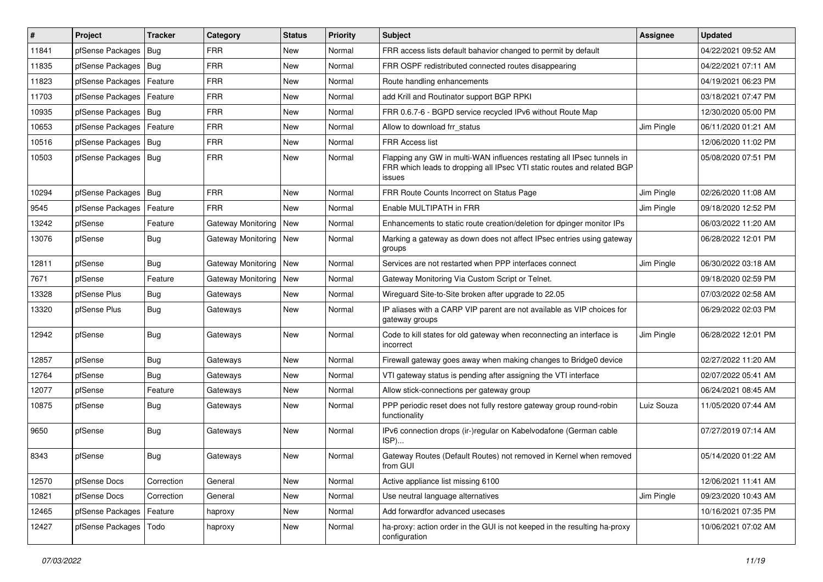| #     | Project                    | <b>Tracker</b> | Category                  | <b>Status</b> | <b>Priority</b> | Subject                                                                                                                                                     | Assignee   | <b>Updated</b>      |
|-------|----------------------------|----------------|---------------------------|---------------|-----------------|-------------------------------------------------------------------------------------------------------------------------------------------------------------|------------|---------------------|
| 11841 | pfSense Packages           | Bug            | <b>FRR</b>                | New           | Normal          | FRR access lists default bahavior changed to permit by default                                                                                              |            | 04/22/2021 09:52 AM |
| 11835 | pfSense Packages   Bug     |                | <b>FRR</b>                | New           | Normal          | FRR OSPF redistributed connected routes disappearing                                                                                                        |            | 04/22/2021 07:11 AM |
| 11823 | pfSense Packages   Feature |                | <b>FRR</b>                | New           | Normal          | Route handling enhancements                                                                                                                                 |            | 04/19/2021 06:23 PM |
| 11703 | pfSense Packages   Feature |                | <b>FRR</b>                | New           | Normal          | add Krill and Routinator support BGP RPKI                                                                                                                   |            | 03/18/2021 07:47 PM |
| 10935 | pfSense Packages   Bug     |                | <b>FRR</b>                | New           | Normal          | FRR 0.6.7-6 - BGPD service recycled IPv6 without Route Map                                                                                                  |            | 12/30/2020 05:00 PM |
| 10653 | pfSense Packages   Feature |                | <b>FRR</b>                | New           | Normal          | Allow to download frr status                                                                                                                                | Jim Pingle | 06/11/2020 01:21 AM |
| 10516 | pfSense Packages   Bug     |                | <b>FRR</b>                | New           | Normal          | <b>FRR Access list</b>                                                                                                                                      |            | 12/06/2020 11:02 PM |
| 10503 | pfSense Packages   Bug     |                | <b>FRR</b>                | New           | Normal          | Flapping any GW in multi-WAN influences restating all IPsec tunnels in<br>FRR which leads to dropping all IPsec VTI static routes and related BGP<br>issues |            | 05/08/2020 07:51 PM |
| 10294 | pfSense Packages   Bug     |                | <b>FRR</b>                | New           | Normal          | FRR Route Counts Incorrect on Status Page                                                                                                                   | Jim Pingle | 02/26/2020 11:08 AM |
| 9545  | pfSense Packages   Feature |                | <b>FRR</b>                | New           | Normal          | Enable MULTIPATH in FRR                                                                                                                                     | Jim Pingle | 09/18/2020 12:52 PM |
| 13242 | pfSense                    | Feature        | <b>Gateway Monitoring</b> | New           | Normal          | Enhancements to static route creation/deletion for dpinger monitor IPs                                                                                      |            | 06/03/2022 11:20 AM |
| 13076 | pfSense                    | Bug            | Gateway Monitoring        | New           | Normal          | Marking a gateway as down does not affect IPsec entries using gateway<br>groups                                                                             |            | 06/28/2022 12:01 PM |
| 12811 | pfSense                    | Bug            | <b>Gateway Monitoring</b> | New           | Normal          | Services are not restarted when PPP interfaces connect                                                                                                      | Jim Pingle | 06/30/2022 03:18 AM |
| 7671  | pfSense                    | Feature        | Gateway Monitoring        | New           | Normal          | Gateway Monitoring Via Custom Script or Telnet.                                                                                                             |            | 09/18/2020 02:59 PM |
| 13328 | pfSense Plus               | <b>Bug</b>     | Gateways                  | New           | Normal          | Wireguard Site-to-Site broken after upgrade to 22.05                                                                                                        |            | 07/03/2022 02:58 AM |
| 13320 | pfSense Plus               | Bug            | Gateways                  | New           | Normal          | IP aliases with a CARP VIP parent are not available as VIP choices for<br>gateway groups                                                                    |            | 06/29/2022 02:03 PM |
| 12942 | pfSense                    | <b>Bug</b>     | Gateways                  | <b>New</b>    | Normal          | Code to kill states for old gateway when reconnecting an interface is<br>incorrect                                                                          | Jim Pingle | 06/28/2022 12:01 PM |
| 12857 | pfSense                    | <b>Bug</b>     | Gateways                  | <b>New</b>    | Normal          | Firewall gateway goes away when making changes to Bridge0 device                                                                                            |            | 02/27/2022 11:20 AM |
| 12764 | pfSense                    | <b>Bug</b>     | Gateways                  | <b>New</b>    | Normal          | VTI gateway status is pending after assigning the VTI interface                                                                                             |            | 02/07/2022 05:41 AM |
| 12077 | pfSense                    | Feature        | Gateways                  | New           | Normal          | Allow stick-connections per gateway group                                                                                                                   |            | 06/24/2021 08:45 AM |
| 10875 | pfSense                    | <b>Bug</b>     | Gateways                  | New           | Normal          | PPP periodic reset does not fully restore gateway group round-robin<br>functionality                                                                        | Luiz Souza | 11/05/2020 07:44 AM |
| 9650  | pfSense                    | <b>Bug</b>     | Gateways                  | New           | Normal          | IPv6 connection drops (ir-)regular on Kabelvodafone (German cable<br>ISP)                                                                                   |            | 07/27/2019 07:14 AM |
| 8343  | pfSense                    | <b>Bug</b>     | Gateways                  | New           | Normal          | Gateway Routes (Default Routes) not removed in Kernel when removed<br>trom GUI                                                                              |            | 05/14/2020 01:22 AM |
| 12570 | pfSense Docs               | Correction     | General                   | New           | Normal          | Active appliance list missing 6100                                                                                                                          |            | 12/06/2021 11:41 AM |
| 10821 | pfSense Docs               | Correction     | General                   | New           | Normal          | Use neutral language alternatives                                                                                                                           | Jim Pingle | 09/23/2020 10:43 AM |
| 12465 | pfSense Packages   Feature |                | haproxy                   | New           | Normal          | Add forwardfor advanced usecases                                                                                                                            |            | 10/16/2021 07:35 PM |
| 12427 | pfSense Packages           | Todo           | haproxy                   | New           | Normal          | ha-proxy: action order in the GUI is not keeped in the resulting ha-proxy<br>configuration                                                                  |            | 10/06/2021 07:02 AM |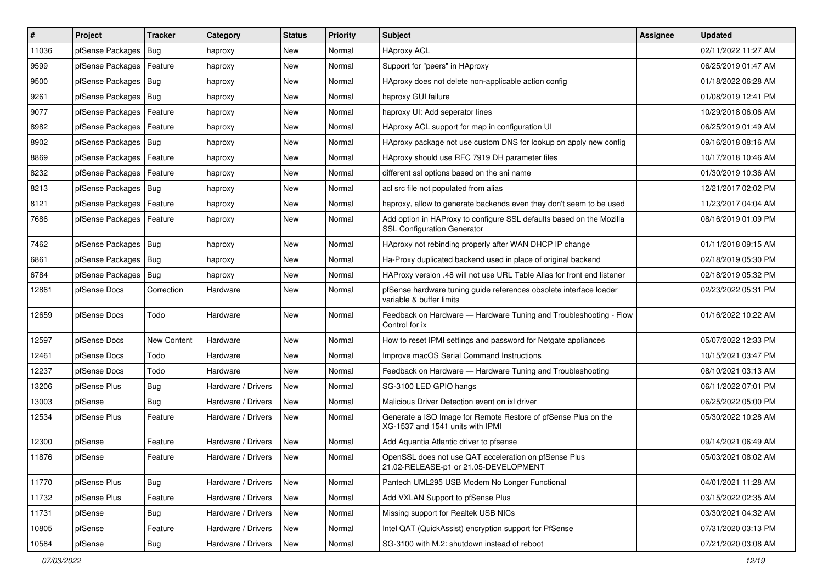| $\vert$ # | Project                    | <b>Tracker</b> | Category           | <b>Status</b> | <b>Priority</b> | <b>Subject</b>                                                                                             | Assignee | <b>Updated</b>      |
|-----------|----------------------------|----------------|--------------------|---------------|-----------------|------------------------------------------------------------------------------------------------------------|----------|---------------------|
| 11036     | pfSense Packages           | Bug            | haproxy            | New           | Normal          | <b>HAproxy ACL</b>                                                                                         |          | 02/11/2022 11:27 AM |
| 9599      | pfSense Packages           | Feature        | haproxy            | <b>New</b>    | Normal          | Support for "peers" in HAproxy                                                                             |          | 06/25/2019 01:47 AM |
| 9500      | pfSense Packages           | Bug            | haproxy            | New           | Normal          | HAproxy does not delete non-applicable action config                                                       |          | 01/18/2022 06:28 AM |
| 9261      | pfSense Packages   Bug     |                | haproxy            | <b>New</b>    | Normal          | haproxy GUI failure                                                                                        |          | 01/08/2019 12:41 PM |
| 9077      | pfSense Packages           | Feature        | haproxy            | <b>New</b>    | Normal          | haproxy UI: Add seperator lines                                                                            |          | 10/29/2018 06:06 AM |
| 8982      | pfSense Packages           | Feature        | haproxy            | New           | Normal          | HAproxy ACL support for map in configuration UI                                                            |          | 06/25/2019 01:49 AM |
| 8902      | pfSense Packages   Bug     |                | haproxy            | New           | Normal          | HAproxy package not use custom DNS for lookup on apply new config                                          |          | 09/16/2018 08:16 AM |
| 8869      | pfSense Packages           | Feature        | haproxy            | New           | Normal          | HAproxy should use RFC 7919 DH parameter files                                                             |          | 10/17/2018 10:46 AM |
| 8232      | pfSense Packages   Feature |                | haproxy            | New           | Normal          | different ssl options based on the sni name                                                                |          | 01/30/2019 10:36 AM |
| 8213      | pfSense Packages           | Bug            | haproxy            | <b>New</b>    | Normal          | acl src file not populated from alias                                                                      |          | 12/21/2017 02:02 PM |
| 8121      | pfSense Packages           | Feature        | haproxy            | New           | Normal          | haproxy, allow to generate backends even they don't seem to be used                                        |          | 11/23/2017 04:04 AM |
| 7686      | pfSense Packages   Feature |                | haproxy            | New           | Normal          | Add option in HAProxy to configure SSL defaults based on the Mozilla<br><b>SSL Configuration Generator</b> |          | 08/16/2019 01:09 PM |
| 7462      | pfSense Packages           | Bug            | haproxy            | New           | Normal          | HAproxy not rebinding properly after WAN DHCP IP change                                                    |          | 01/11/2018 09:15 AM |
| 6861      | pfSense Packages           | <b>Bug</b>     | haproxy            | <b>New</b>    | Normal          | Ha-Proxy duplicated backend used in place of original backend                                              |          | 02/18/2019 05:30 PM |
| 6784      | pfSense Packages           | Bug            | haproxy            | New           | Normal          | HAProxy version .48 will not use URL Table Alias for front end listener                                    |          | 02/18/2019 05:32 PM |
| 12861     | pfSense Docs               | Correction     | Hardware           | New           | Normal          | pfSense hardware tuning guide references obsolete interface loader<br>variable & buffer limits             |          | 02/23/2022 05:31 PM |
| 12659     | pfSense Docs               | Todo           | Hardware           | <b>New</b>    | Normal          | Feedback on Hardware - Hardware Tuning and Troubleshooting - Flow<br>Control for ix                        |          | 01/16/2022 10:22 AM |
| 12597     | pfSense Docs               | New Content    | Hardware           | <b>New</b>    | Normal          | How to reset IPMI settings and password for Netgate appliances                                             |          | 05/07/2022 12:33 PM |
| 12461     | pfSense Docs               | Todo           | Hardware           | New           | Normal          | Improve macOS Serial Command Instructions                                                                  |          | 10/15/2021 03:47 PM |
| 12237     | pfSense Docs               | Todo           | Hardware           | <b>New</b>    | Normal          | Feedback on Hardware - Hardware Tuning and Troubleshooting                                                 |          | 08/10/2021 03:13 AM |
| 13206     | pfSense Plus               | <b>Bug</b>     | Hardware / Drivers | New           | Normal          | SG-3100 LED GPIO hangs                                                                                     |          | 06/11/2022 07:01 PM |
| 13003     | pfSense                    | Bug            | Hardware / Drivers | <b>New</b>    | Normal          | Malicious Driver Detection event on ixl driver                                                             |          | 06/25/2022 05:00 PM |
| 12534     | pfSense Plus               | Feature        | Hardware / Drivers | <b>New</b>    | Normal          | Generate a ISO Image for Remote Restore of pfSense Plus on the<br>XG-1537 and 1541 units with IPMI         |          | 05/30/2022 10:28 AM |
| 12300     | pfSense                    | Feature        | Hardware / Drivers | New           | Normal          | Add Aquantia Atlantic driver to pfsense                                                                    |          | 09/14/2021 06:49 AM |
| 11876     | pfSense                    | Feature        | Hardware / Drivers | <b>New</b>    | Normal          | OpenSSL does not use QAT acceleration on pfSense Plus<br>21.02-RELEASE-p1 or 21.05-DEVELOPMENT             |          | 05/03/2021 08:02 AM |
| 11770     | pfSense Plus               | Bug            | Hardware / Drivers | New           | Normal          | Pantech UML295 USB Modem No Longer Functional                                                              |          | 04/01/2021 11:28 AM |
| 11732     | pfSense Plus               | Feature        | Hardware / Drivers | New           | Normal          | Add VXLAN Support to pfSense Plus                                                                          |          | 03/15/2022 02:35 AM |
| 11731     | pfSense                    | Bug            | Hardware / Drivers | New           | Normal          | Missing support for Realtek USB NICs                                                                       |          | 03/30/2021 04:32 AM |
| 10805     | pfSense                    | Feature        | Hardware / Drivers | New           | Normal          | Intel QAT (QuickAssist) encryption support for PfSense                                                     |          | 07/31/2020 03:13 PM |
| 10584     | pfSense                    | Bug            | Hardware / Drivers | New           | Normal          | SG-3100 with M.2: shutdown instead of reboot                                                               |          | 07/21/2020 03:08 AM |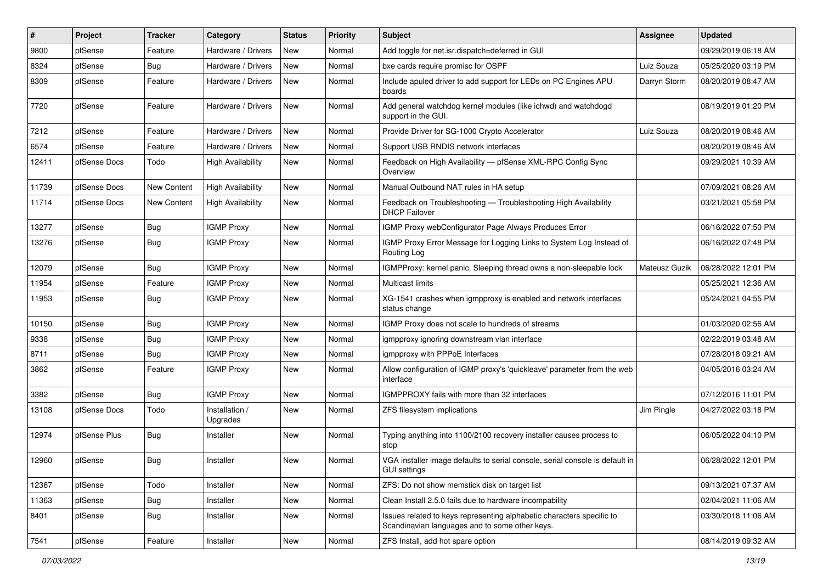| $\vert$ # | Project      | <b>Tracker</b> | Category                   | <b>Status</b> | <b>Priority</b> | <b>Subject</b>                                                                                                          | Assignee      | <b>Updated</b>      |
|-----------|--------------|----------------|----------------------------|---------------|-----------------|-------------------------------------------------------------------------------------------------------------------------|---------------|---------------------|
| 9800      | pfSense      | Feature        | Hardware / Drivers         | <b>New</b>    | Normal          | Add toggle for net.isr.dispatch=deferred in GUI                                                                         |               | 09/29/2019 06:18 AM |
| 8324      | pfSense      | Bug            | Hardware / Drivers         | <b>New</b>    | Normal          | bxe cards require promisc for OSPF                                                                                      | Luiz Souza    | 05/25/2020 03:19 PM |
| 8309      | pfSense      | Feature        | Hardware / Drivers         | <b>New</b>    | Normal          | Include apuled driver to add support for LEDs on PC Engines APU<br>boards                                               | Darryn Storm  | 08/20/2019 08:47 AM |
| 7720      | pfSense      | Feature        | Hardware / Drivers         | <b>New</b>    | Normal          | Add general watchdog kernel modules (like ichwd) and watchdogd<br>support in the GUI.                                   |               | 08/19/2019 01:20 PM |
| 7212      | pfSense      | Feature        | Hardware / Drivers         | New           | Normal          | Provide Driver for SG-1000 Crypto Accelerator                                                                           | Luiz Souza    | 08/20/2019 08:46 AM |
| 6574      | pfSense      | Feature        | Hardware / Drivers         | <b>New</b>    | Normal          | Support USB RNDIS network interfaces                                                                                    |               | 08/20/2019 08:46 AM |
| 12411     | pfSense Docs | Todo           | <b>High Availability</b>   | New           | Normal          | Feedback on High Availability - pfSense XML-RPC Config Sync<br>Overview                                                 |               | 09/29/2021 10:39 AM |
| 11739     | pfSense Docs | New Content    | <b>High Availability</b>   | New           | Normal          | Manual Outbound NAT rules in HA setup                                                                                   |               | 07/09/2021 08:26 AM |
| 11714     | pfSense Docs | New Content    | <b>High Availability</b>   | New           | Normal          | Feedback on Troubleshooting - Troubleshooting High Availability<br><b>DHCP Failover</b>                                 |               | 03/21/2021 05:58 PM |
| 13277     | pfSense      | Bug            | <b>IGMP Proxy</b>          | New           | Normal          | IGMP Proxy webConfigurator Page Always Produces Error                                                                   |               | 06/16/2022 07:50 PM |
| 13276     | pfSense      | <b>Bug</b>     | <b>IGMP Proxy</b>          | New           | Normal          | IGMP Proxy Error Message for Logging Links to System Log Instead of<br>Routing Log                                      |               | 06/16/2022 07:48 PM |
| 12079     | pfSense      | Bug            | <b>IGMP Proxy</b>          | New           | Normal          | IGMPProxy: kernel panic, Sleeping thread owns a non-sleepable lock                                                      | Mateusz Guzik | 06/28/2022 12:01 PM |
| 11954     | pfSense      | Feature        | <b>IGMP Proxy</b>          | <b>New</b>    | Normal          | Multicast limits                                                                                                        |               | 05/25/2021 12:36 AM |
| 11953     | pfSense      | Bug            | <b>IGMP Proxy</b>          | New           | Normal          | XG-1541 crashes when igmpproxy is enabled and network interfaces<br>status change                                       |               | 05/24/2021 04:55 PM |
| 10150     | pfSense      | <b>Bug</b>     | <b>IGMP Proxy</b>          | <b>New</b>    | Normal          | IGMP Proxy does not scale to hundreds of streams                                                                        |               | 01/03/2020 02:56 AM |
| 9338      | pfSense      | Bug            | <b>IGMP Proxy</b>          | <b>New</b>    | Normal          | igmpproxy ignoring downstream vlan interface                                                                            |               | 02/22/2019 03:48 AM |
| 8711      | pfSense      | Bug            | <b>IGMP Proxy</b>          | New           | Normal          | igmpproxy with PPPoE Interfaces                                                                                         |               | 07/28/2018 09:21 AM |
| 3862      | pfSense      | Feature        | <b>IGMP Proxy</b>          | <b>New</b>    | Normal          | Allow configuration of IGMP proxy's 'quickleave' parameter from the web<br>interface                                    |               | 04/05/2016 03:24 AM |
| 3382      | pfSense      | Bug            | <b>IGMP Proxy</b>          | New           | Normal          | IGMPPROXY fails with more than 32 interfaces                                                                            |               | 07/12/2016 11:01 PM |
| 13108     | pfSense Docs | Todo           | Installation /<br>Upgrades | New           | Normal          | ZFS filesystem implications                                                                                             | Jim Pingle    | 04/27/2022 03:18 PM |
| 12974     | pfSense Plus | Bug            | Installer                  | New           | Normal          | Typing anything into 1100/2100 recovery installer causes process to<br>stop                                             |               | 06/05/2022 04:10 PM |
| 12960     | pfSense      | <b>Bug</b>     | Installer                  | New           | Normal          | VGA installer image defaults to serial console, serial console is default in<br><b>GUI settings</b>                     |               | 06/28/2022 12:01 PM |
| 12367     | pfSense      | Todo           | Installer                  | New           | Normal          | ZFS: Do not show memstick disk on target list                                                                           |               | 09/13/2021 07:37 AM |
| 11363     | pfSense      | <b>Bug</b>     | Installer                  | New           | Normal          | Clean Install 2.5.0 fails due to hardware incompability                                                                 |               | 02/04/2021 11:06 AM |
| 8401      | pfSense      | <b>Bug</b>     | Installer                  | New           | Normal          | Issues related to keys representing alphabetic characters specific to<br>Scandinavian languages and to some other keys. |               | 03/30/2018 11:06 AM |
| 7541      | pfSense      | Feature        | Installer                  | New           | Normal          | ZFS Install, add hot spare option                                                                                       |               | 08/14/2019 09:32 AM |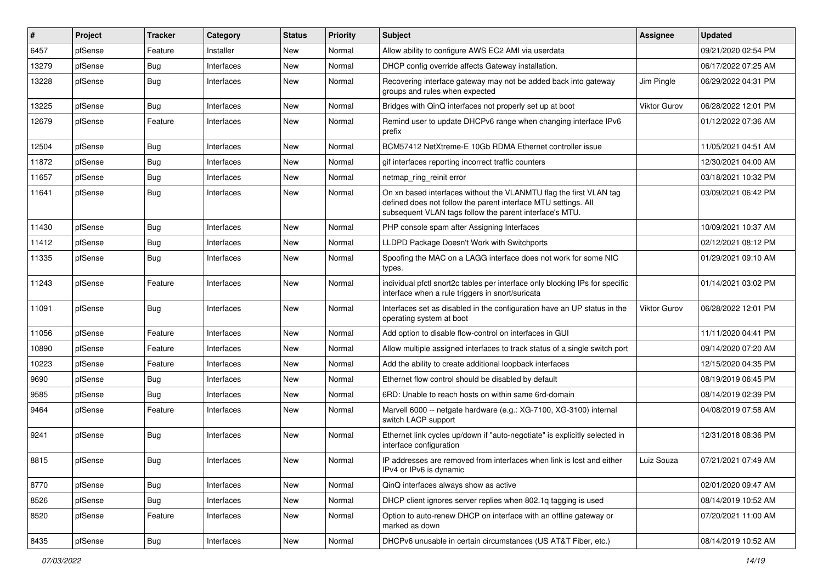| #     | Project | <b>Tracker</b> | Category   | <b>Status</b> | <b>Priority</b> | Subject                                                                                                                                                                                         | <b>Assignee</b>     | <b>Updated</b>      |
|-------|---------|----------------|------------|---------------|-----------------|-------------------------------------------------------------------------------------------------------------------------------------------------------------------------------------------------|---------------------|---------------------|
| 6457  | pfSense | Feature        | Installer  | New           | Normal          | Allow ability to configure AWS EC2 AMI via userdata                                                                                                                                             |                     | 09/21/2020 02:54 PM |
| 13279 | pfSense | <b>Bug</b>     | Interfaces | <b>New</b>    | Normal          | DHCP config override affects Gateway installation.                                                                                                                                              |                     | 06/17/2022 07:25 AM |
| 13228 | pfSense | Bug            | Interfaces | New           | Normal          | Recovering interface gateway may not be added back into gateway<br>groups and rules when expected                                                                                               | Jim Pingle          | 06/29/2022 04:31 PM |
| 13225 | pfSense | Bug            | Interfaces | <b>New</b>    | Normal          | Bridges with QinQ interfaces not properly set up at boot                                                                                                                                        | Viktor Gurov        | 06/28/2022 12:01 PM |
| 12679 | pfSense | Feature        | Interfaces | New           | Normal          | Remind user to update DHCPv6 range when changing interface IPv6<br>prefix                                                                                                                       |                     | 01/12/2022 07:36 AM |
| 12504 | pfSense | <b>Bug</b>     | Interfaces | <b>New</b>    | Normal          | BCM57412 NetXtreme-E 10Gb RDMA Ethernet controller issue                                                                                                                                        |                     | 11/05/2021 04:51 AM |
| 11872 | pfSense | <b>Bug</b>     | Interfaces | New           | Normal          | gif interfaces reporting incorrect traffic counters                                                                                                                                             |                     | 12/30/2021 04:00 AM |
| 11657 | pfSense | <b>Bug</b>     | Interfaces | <b>New</b>    | Normal          | netmap_ring_reinit error                                                                                                                                                                        |                     | 03/18/2021 10:32 PM |
| 11641 | pfSense | Bug            | Interfaces | New           | Normal          | On xn based interfaces without the VLANMTU flag the first VLAN tag<br>defined does not follow the parent interface MTU settings. All<br>subsequent VLAN tags follow the parent interface's MTU. |                     | 03/09/2021 06:42 PM |
| 11430 | pfSense | Bug            | Interfaces | New           | Normal          | PHP console spam after Assigning Interfaces                                                                                                                                                     |                     | 10/09/2021 10:37 AM |
| 11412 | pfSense | <b>Bug</b>     | Interfaces | New           | Normal          | LLDPD Package Doesn't Work with Switchports                                                                                                                                                     |                     | 02/12/2021 08:12 PM |
| 11335 | pfSense | <b>Bug</b>     | Interfaces | <b>New</b>    | Normal          | Spoofing the MAC on a LAGG interface does not work for some NIC<br>types.                                                                                                                       |                     | 01/29/2021 09:10 AM |
| 11243 | pfSense | Feature        | Interfaces | New           | Normal          | individual pfctl snort2c tables per interface only blocking IPs for specific<br>interface when a rule triggers in snort/suricata                                                                |                     | 01/14/2021 03:02 PM |
| 11091 | pfSense | Bug            | Interfaces | New           | Normal          | Interfaces set as disabled in the configuration have an UP status in the<br>operating system at boot                                                                                            | <b>Viktor Gurov</b> | 06/28/2022 12:01 PM |
| 11056 | pfSense | Feature        | Interfaces | New           | Normal          | Add option to disable flow-control on interfaces in GUI                                                                                                                                         |                     | 11/11/2020 04:41 PM |
| 10890 | pfSense | Feature        | Interfaces | <b>New</b>    | Normal          | Allow multiple assigned interfaces to track status of a single switch port                                                                                                                      |                     | 09/14/2020 07:20 AM |
| 10223 | pfSense | Feature        | Interfaces | New           | Normal          | Add the ability to create additional loopback interfaces                                                                                                                                        |                     | 12/15/2020 04:35 PM |
| 9690  | pfSense | <b>Bug</b>     | Interfaces | New           | Normal          | Ethernet flow control should be disabled by default                                                                                                                                             |                     | 08/19/2019 06:45 PM |
| 9585  | pfSense | <b>Bug</b>     | Interfaces | New           | Normal          | 6RD: Unable to reach hosts on within same 6rd-domain                                                                                                                                            |                     | 08/14/2019 02:39 PM |
| 9464  | pfSense | Feature        | Interfaces | New           | Normal          | Marvell 6000 -- netgate hardware (e.g.: XG-7100, XG-3100) internal<br>switch LACP support                                                                                                       |                     | 04/08/2019 07:58 AM |
| 9241  | pfSense | <b>Bug</b>     | Interfaces | New           | Normal          | Ethernet link cycles up/down if "auto-negotiate" is explicitly selected in<br>interface configuration                                                                                           |                     | 12/31/2018 08:36 PM |
| 8815  | pfSense | <b>Bug</b>     | Interfaces | New           | Normal          | IP addresses are removed from interfaces when link is lost and either<br>IPv4 or IPv6 is dynamic                                                                                                | Luiz Souza          | 07/21/2021 07:49 AM |
| 8770  | pfSense | <b>Bug</b>     | Interfaces | New           | Normal          | QinQ interfaces always show as active                                                                                                                                                           |                     | 02/01/2020 09:47 AM |
| 8526  | pfSense | <b>Bug</b>     | Interfaces | New           | Normal          | DHCP client ignores server replies when 802.1q tagging is used                                                                                                                                  |                     | 08/14/2019 10:52 AM |
| 8520  | pfSense | Feature        | Interfaces | New           | Normal          | Option to auto-renew DHCP on interface with an offline gateway or<br>marked as down                                                                                                             |                     | 07/20/2021 11:00 AM |
| 8435  | pfSense | <b>Bug</b>     | Interfaces | New           | Normal          | DHCPv6 unusable in certain circumstances (US AT&T Fiber, etc.)                                                                                                                                  |                     | 08/14/2019 10:52 AM |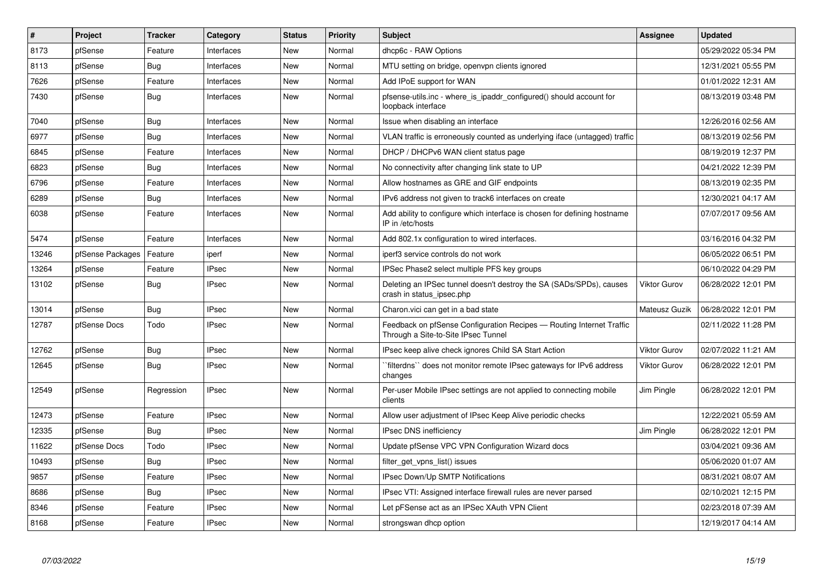| $\pmb{\#}$ | Project          | <b>Tracker</b> | Category     | <b>Status</b> | Priority | <b>Subject</b>                                                                                              | <b>Assignee</b> | <b>Updated</b>      |
|------------|------------------|----------------|--------------|---------------|----------|-------------------------------------------------------------------------------------------------------------|-----------------|---------------------|
| 8173       | pfSense          | Feature        | Interfaces   | <b>New</b>    | Normal   | dhcp6c - RAW Options                                                                                        |                 | 05/29/2022 05:34 PM |
| 8113       | pfSense          | <b>Bug</b>     | Interfaces   | <b>New</b>    | Normal   | MTU setting on bridge, openvpn clients ignored                                                              |                 | 12/31/2021 05:55 PM |
| 7626       | pfSense          | Feature        | Interfaces   | <b>New</b>    | Normal   | Add IPoE support for WAN                                                                                    |                 | 01/01/2022 12:31 AM |
| 7430       | pfSense          | Bug            | Interfaces   | <b>New</b>    | Normal   | pfsense-utils.inc - where is ipaddr configured() should account for<br>loopback interface                   |                 | 08/13/2019 03:48 PM |
| 7040       | pfSense          | <b>Bug</b>     | Interfaces   | <b>New</b>    | Normal   | Issue when disabling an interface                                                                           |                 | 12/26/2016 02:56 AM |
| 6977       | pfSense          | <b>Bug</b>     | Interfaces   | <b>New</b>    | Normal   | VLAN traffic is erroneously counted as underlying iface (untagged) traffic                                  |                 | 08/13/2019 02:56 PM |
| 6845       | pfSense          | Feature        | Interfaces   | <b>New</b>    | Normal   | DHCP / DHCPv6 WAN client status page                                                                        |                 | 08/19/2019 12:37 PM |
| 6823       | pfSense          | <b>Bug</b>     | Interfaces   | <b>New</b>    | Normal   | No connectivity after changing link state to UP                                                             |                 | 04/21/2022 12:39 PM |
| 6796       | pfSense          | Feature        | Interfaces   | <b>New</b>    | Normal   | Allow hostnames as GRE and GIF endpoints                                                                    |                 | 08/13/2019 02:35 PM |
| 6289       | pfSense          | Bug            | Interfaces   | <b>New</b>    | Normal   | IPv6 address not given to track6 interfaces on create                                                       |                 | 12/30/2021 04:17 AM |
| 6038       | pfSense          | Feature        | Interfaces   | <b>New</b>    | Normal   | Add ability to configure which interface is chosen for defining hostname<br>IP in /etc/hosts                |                 | 07/07/2017 09:56 AM |
| 5474       | pfSense          | Feature        | Interfaces   | <b>New</b>    | Normal   | Add 802.1x configuration to wired interfaces.                                                               |                 | 03/16/2016 04:32 PM |
| 13246      | pfSense Packages | Feature        | iperf        | <b>New</b>    | Normal   | iperf3 service controls do not work                                                                         |                 | 06/05/2022 06:51 PM |
| 13264      | pfSense          | Feature        | <b>IPsec</b> | <b>New</b>    | Normal   | IPSec Phase2 select multiple PFS key groups                                                                 |                 | 06/10/2022 04:29 PM |
| 13102      | pfSense          | Bug            | <b>IPsec</b> | <b>New</b>    | Normal   | Deleting an IPSec tunnel doesn't destroy the SA (SADs/SPDs), causes<br>crash in status ipsec.php            | Viktor Gurov    | 06/28/2022 12:01 PM |
| 13014      | pfSense          | <b>Bug</b>     | <b>IPsec</b> | <b>New</b>    | Normal   | Charon. vici can get in a bad state                                                                         | Mateusz Guzik   | 06/28/2022 12:01 PM |
| 12787      | pfSense Docs     | Todo           | <b>IPsec</b> | <b>New</b>    | Normal   | Feedback on pfSense Configuration Recipes - Routing Internet Traffic<br>Through a Site-to-Site IPsec Tunnel |                 | 02/11/2022 11:28 PM |
| 12762      | pfSense          | <b>Bug</b>     | <b>IPsec</b> | <b>New</b>    | Normal   | IPsec keep alive check ignores Child SA Start Action                                                        | Viktor Gurov    | 02/07/2022 11:21 AM |
| 12645      | pfSense          | Bug            | IPsec        | <b>New</b>    | Normal   | `filterdns`` does not monitor remote IPsec gateways for IPv6 address<br>changes                             | Viktor Gurov    | 06/28/2022 12:01 PM |
| 12549      | pfSense          | Regression     | <b>IPsec</b> | <b>New</b>    | Normal   | Per-user Mobile IPsec settings are not applied to connecting mobile<br>clients                              | Jim Pingle      | 06/28/2022 12:01 PM |
| 12473      | pfSense          | Feature        | <b>IPsec</b> | New           | Normal   | Allow user adjustment of IPsec Keep Alive periodic checks                                                   |                 | 12/22/2021 05:59 AM |
| 12335      | pfSense          | Bug            | <b>IPsec</b> | <b>New</b>    | Normal   | <b>IPsec DNS inefficiency</b>                                                                               | Jim Pingle      | 06/28/2022 12:01 PM |
| 11622      | pfSense Docs     | Todo           | IPsec        | <b>New</b>    | Normal   | Update pfSense VPC VPN Configuration Wizard docs                                                            |                 | 03/04/2021 09:36 AM |
| 10493      | pfSense          | Bug            | <b>IPsec</b> | <b>New</b>    | Normal   | filter_get_vpns_list() issues                                                                               |                 | 05/06/2020 01:07 AM |
| 9857       | pfSense          | Feature        | <b>IPsec</b> | New           | Normal   | <b>IPsec Down/Up SMTP Notifications</b>                                                                     |                 | 08/31/2021 08:07 AM |
| 8686       | pfSense          | Bug            | <b>IPsec</b> | <b>New</b>    | Normal   | IPsec VTI: Assigned interface firewall rules are never parsed                                               |                 | 02/10/2021 12:15 PM |
| 8346       | pfSense          | Feature        | <b>IPsec</b> | <b>New</b>    | Normal   | Let pFSense act as an IPSec XAuth VPN Client                                                                |                 | 02/23/2018 07:39 AM |
| 8168       | pfSense          | Feature        | <b>IPsec</b> | <b>New</b>    | Normal   | strongswan dhcp option                                                                                      |                 | 12/19/2017 04:14 AM |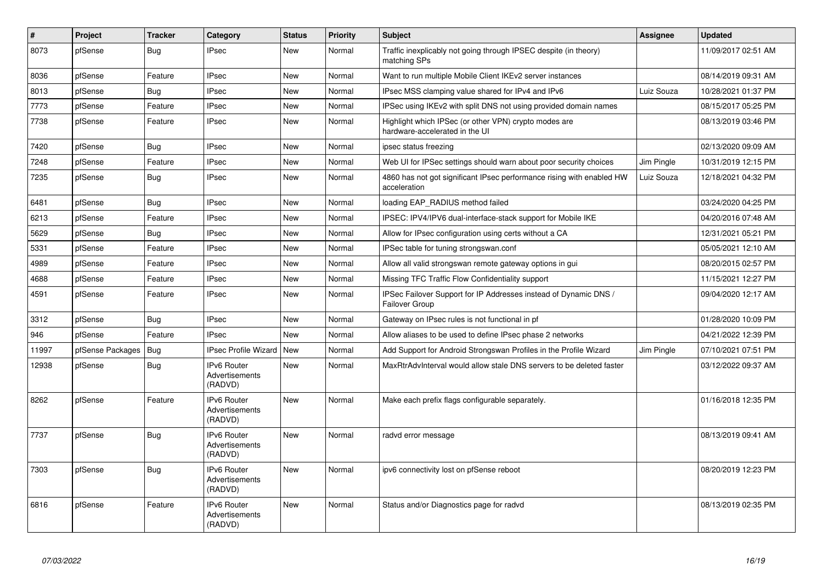| $\vert$ # | Project          | <b>Tracker</b> | Category                                        | <b>Status</b> | Priority | <b>Subject</b>                                                                          | Assignee   | <b>Updated</b>      |
|-----------|------------------|----------------|-------------------------------------------------|---------------|----------|-----------------------------------------------------------------------------------------|------------|---------------------|
| 8073      | pfSense          | Bug            | <b>IPsec</b>                                    | <b>New</b>    | Normal   | Traffic inexplicably not going through IPSEC despite (in theory)<br>matching SPs        |            | 11/09/2017 02:51 AM |
| 8036      | pfSense          | Feature        | <b>IPsec</b>                                    | <b>New</b>    | Normal   | Want to run multiple Mobile Client IKEv2 server instances                               |            | 08/14/2019 09:31 AM |
| 8013      | pfSense          | Bug            | <b>IPsec</b>                                    | <b>New</b>    | Normal   | IPsec MSS clamping value shared for IPv4 and IPv6                                       | Luiz Souza | 10/28/2021 01:37 PM |
| 7773      | pfSense          | Feature        | <b>IPsec</b>                                    | <b>New</b>    | Normal   | IPSec using IKEv2 with split DNS not using provided domain names                        |            | 08/15/2017 05:25 PM |
| 7738      | pfSense          | Feature        | <b>IPsec</b>                                    | <b>New</b>    | Normal   | Highlight which IPSec (or other VPN) crypto modes are<br>hardware-accelerated in the UI |            | 08/13/2019 03:46 PM |
| 7420      | pfSense          | <b>Bug</b>     | <b>IPsec</b>                                    | <b>New</b>    | Normal   | ipsec status freezing                                                                   |            | 02/13/2020 09:09 AM |
| 7248      | pfSense          | Feature        | <b>IPsec</b>                                    | <b>New</b>    | Normal   | Web UI for IPSec settings should warn about poor security choices                       | Jim Pingle | 10/31/2019 12:15 PM |
| 7235      | pfSense          | <b>Bug</b>     | <b>IPsec</b>                                    | <b>New</b>    | Normal   | 4860 has not got significant IPsec performance rising with enabled HW<br>acceleration   | Luiz Souza | 12/18/2021 04:32 PM |
| 6481      | pfSense          | Bug            | <b>IPsec</b>                                    | <b>New</b>    | Normal   | loading EAP RADIUS method failed                                                        |            | 03/24/2020 04:25 PM |
| 6213      | pfSense          | Feature        | <b>IPsec</b>                                    | <b>New</b>    | Normal   | IPSEC: IPV4/IPV6 dual-interface-stack support for Mobile IKE                            |            | 04/20/2016 07:48 AM |
| 5629      | pfSense          | <b>Bug</b>     | <b>IPsec</b>                                    | <b>New</b>    | Normal   | Allow for IPsec configuration using certs without a CA                                  |            | 12/31/2021 05:21 PM |
| 5331      | pfSense          | Feature        | <b>IPsec</b>                                    | New           | Normal   | IPSec table for tuning strongswan.conf                                                  |            | 05/05/2021 12:10 AM |
| 4989      | pfSense          | Feature        | <b>IPsec</b>                                    | <b>New</b>    | Normal   | Allow all valid strongswan remote gateway options in gui                                |            | 08/20/2015 02:57 PM |
| 4688      | pfSense          | Feature        | <b>IPsec</b>                                    | <b>New</b>    | Normal   | Missing TFC Traffic Flow Confidentiality support                                        |            | 11/15/2021 12:27 PM |
| 4591      | pfSense          | Feature        | <b>IPsec</b>                                    | <b>New</b>    | Normal   | IPSec Failover Support for IP Addresses instead of Dynamic DNS /<br>Failover Group      |            | 09/04/2020 12:17 AM |
| 3312      | pfSense          | Bug            | <b>IPsec</b>                                    | <b>New</b>    | Normal   | Gateway on IPsec rules is not functional in pf                                          |            | 01/28/2020 10:09 PM |
| 946       | pfSense          | Feature        | <b>IPsec</b>                                    | <b>New</b>    | Normal   | Allow aliases to be used to define IPsec phase 2 networks                               |            | 04/21/2022 12:39 PM |
| 11997     | pfSense Packages | Bug            | <b>IPsec Profile Wizard</b>                     | New           | Normal   | Add Support for Android Strongswan Profiles in the Profile Wizard                       | Jim Pingle | 07/10/2021 07:51 PM |
| 12938     | pfSense          | Bug            | IPv6 Router<br>Advertisements<br>(RADVD)        | New           | Normal   | MaxRtrAdvInterval would allow stale DNS servers to be deleted faster                    |            | 03/12/2022 09:37 AM |
| 8262      | pfSense          | Feature        | IPv6 Router<br>Advertisements<br>(RADVD)        | <b>New</b>    | Normal   | Make each prefix flags configurable separately.                                         |            | 01/16/2018 12:35 PM |
| 7737      | pfSense          | Bug            | IPv6 Router<br>Advertisements<br>(RADVD)        | <b>New</b>    | Normal   | radvd error message                                                                     |            | 08/13/2019 09:41 AM |
| 7303      | pfSense          | <b>Bug</b>     | <b>IPv6 Router</b><br>Advertisements<br>(RADVD) | <b>New</b>    | Normal   | ipv6 connectivity lost on pfSense reboot                                                |            | 08/20/2019 12:23 PM |
| 6816      | pfSense          | Feature        | <b>IPv6 Router</b><br>Advertisements<br>(RADVD) | New           | Normal   | Status and/or Diagnostics page for radvd                                                |            | 08/13/2019 02:35 PM |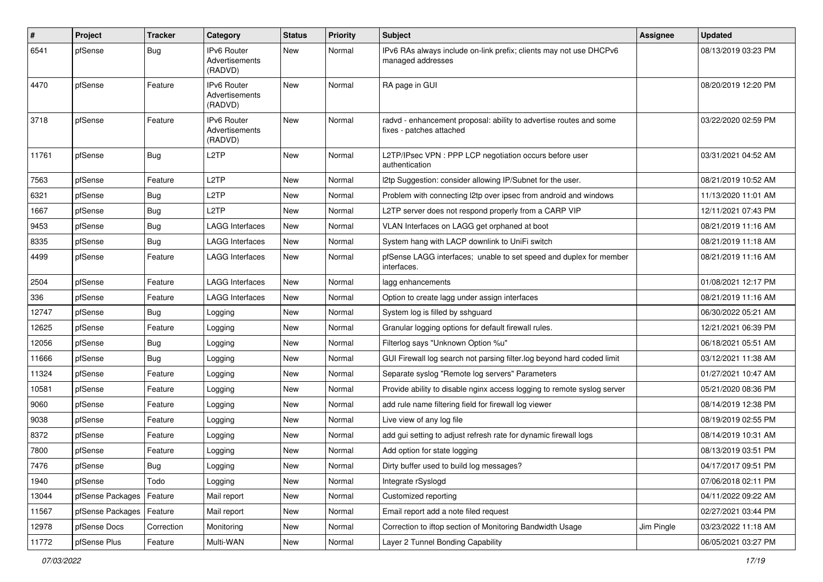| #     | Project          | <b>Tracker</b> | Category                                 | <b>Status</b> | <b>Priority</b> | Subject                                                                                        | <b>Assignee</b> | <b>Updated</b>      |
|-------|------------------|----------------|------------------------------------------|---------------|-----------------|------------------------------------------------------------------------------------------------|-----------------|---------------------|
| 6541  | pfSense          | <b>Bug</b>     | IPv6 Router<br>Advertisements<br>(RADVD) | New           | Normal          | IPv6 RAs always include on-link prefix; clients may not use DHCPv6<br>managed addresses        |                 | 08/13/2019 03:23 PM |
| 4470  | pfSense          | Feature        | IPv6 Router<br>Advertisements<br>(RADVD) | New           | Normal          | RA page in GUI                                                                                 |                 | 08/20/2019 12:20 PM |
| 3718  | pfSense          | Feature        | IPv6 Router<br>Advertisements<br>(RADVD) | New           | Normal          | radvd - enhancement proposal: ability to advertise routes and some<br>fixes - patches attached |                 | 03/22/2020 02:59 PM |
| 11761 | pfSense          | <b>Bug</b>     | L <sub>2</sub> TP                        | New           | Normal          | L2TP/IPsec VPN : PPP LCP negotiation occurs before user<br>authentication                      |                 | 03/31/2021 04:52 AM |
| 7563  | pfSense          | Feature        | L <sub>2</sub> TP                        | New           | Normal          | 12tp Suggestion: consider allowing IP/Subnet for the user.                                     |                 | 08/21/2019 10:52 AM |
| 6321  | pfSense          | <b>Bug</b>     | L <sub>2</sub> TP                        | New           | Normal          | Problem with connecting I2tp over ipsec from android and windows                               |                 | 11/13/2020 11:01 AM |
| 1667  | pfSense          | <b>Bug</b>     | L <sub>2</sub> TP                        | New           | Normal          | L2TP server does not respond properly from a CARP VIP                                          |                 | 12/11/2021 07:43 PM |
| 9453  | pfSense          | <b>Bug</b>     | LAGG Interfaces                          | New           | Normal          | VLAN Interfaces on LAGG get orphaned at boot                                                   |                 | 08/21/2019 11:16 AM |
| 8335  | pfSense          | Bug            | <b>LAGG Interfaces</b>                   | New           | Normal          | System hang with LACP downlink to UniFi switch                                                 |                 | 08/21/2019 11:18 AM |
| 4499  | pfSense          | Feature        | <b>LAGG Interfaces</b>                   | New           | Normal          | pfSense LAGG interfaces; unable to set speed and duplex for member<br>interfaces.              |                 | 08/21/2019 11:16 AM |
| 2504  | pfSense          | Feature        | <b>LAGG Interfaces</b>                   | New           | Normal          | lagg enhancements                                                                              |                 | 01/08/2021 12:17 PM |
| 336   | pfSense          | Feature        | <b>LAGG Interfaces</b>                   | New           | Normal          | Option to create lagg under assign interfaces                                                  |                 | 08/21/2019 11:16 AM |
| 12747 | pfSense          | <b>Bug</b>     | Logging                                  | New           | Normal          | System log is filled by sshguard                                                               |                 | 06/30/2022 05:21 AM |
| 12625 | pfSense          | Feature        | Logging                                  | New           | Normal          | Granular logging options for default firewall rules.                                           |                 | 12/21/2021 06:39 PM |
| 12056 | pfSense          | Bug            | Logging                                  | New           | Normal          | Filterlog says "Unknown Option %u"                                                             |                 | 06/18/2021 05:51 AM |
| 11666 | pfSense          | Bug            | Logging                                  | New           | Normal          | GUI Firewall log search not parsing filter.log beyond hard coded limit                         |                 | 03/12/2021 11:38 AM |
| 11324 | pfSense          | Feature        | Logging                                  | New           | Normal          | Separate syslog "Remote log servers" Parameters                                                |                 | 01/27/2021 10:47 AM |
| 10581 | pfSense          | Feature        | Logging                                  | New           | Normal          | Provide ability to disable nginx access logging to remote syslog server                        |                 | 05/21/2020 08:36 PM |
| 9060  | pfSense          | Feature        | Logging                                  | New           | Normal          | add rule name filtering field for firewall log viewer                                          |                 | 08/14/2019 12:38 PM |
| 9038  | pfSense          | Feature        | Logging                                  | New           | Normal          | Live view of any log file                                                                      |                 | 08/19/2019 02:55 PM |
| 8372  | pfSense          | Feature        | Logging                                  | New           | Normal          | add gui setting to adjust refresh rate for dynamic firewall logs                               |                 | 08/14/2019 10:31 AM |
| 7800  | pfSense          | Feature        | Logging                                  | New           | Normal          | Add option for state logging                                                                   |                 | 08/13/2019 03:51 PM |
| 7476  | pfSense          | Bug            | Logging                                  | New           | Normal          | Dirty buffer used to build log messages?                                                       |                 | 04/17/2017 09:51 PM |
| 1940  | pfSense          | Todo           | Logging                                  | New           | Normal          | Integrate rSyslogd                                                                             |                 | 07/06/2018 02:11 PM |
| 13044 | pfSense Packages | Feature        | Mail report                              | New           | Normal          | Customized reporting                                                                           |                 | 04/11/2022 09:22 AM |
| 11567 | pfSense Packages | Feature        | Mail report                              | New           | Normal          | Email report add a note filed request                                                          |                 | 02/27/2021 03:44 PM |
| 12978 | pfSense Docs     | Correction     | Monitoring                               | New           | Normal          | Correction to iftop section of Monitoring Bandwidth Usage                                      | Jim Pingle      | 03/23/2022 11:18 AM |
| 11772 | pfSense Plus     | Feature        | Multi-WAN                                | New           | Normal          | Layer 2 Tunnel Bonding Capability                                                              |                 | 06/05/2021 03:27 PM |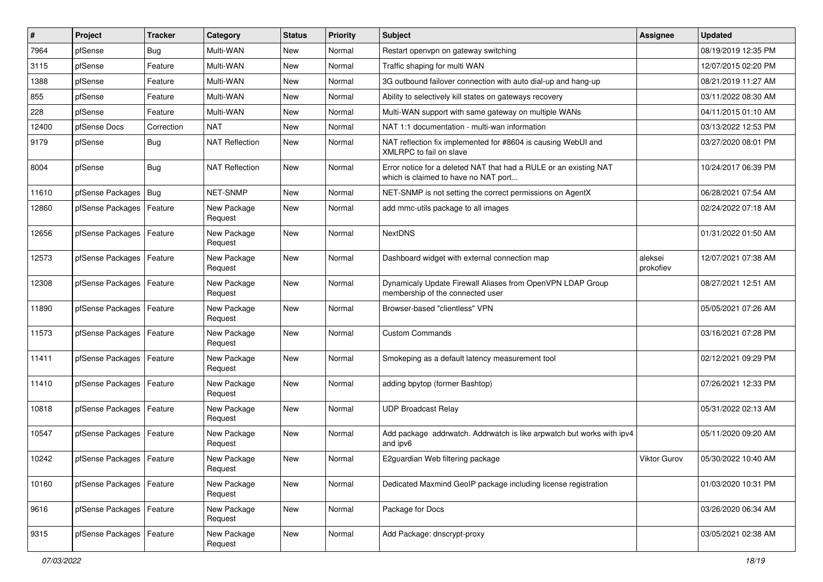| #     | Project                    | <b>Tracker</b> | Category               | <b>Status</b> | <b>Priority</b> | <b>Subject</b>                                                                                            | Assignee             | <b>Updated</b>      |
|-------|----------------------------|----------------|------------------------|---------------|-----------------|-----------------------------------------------------------------------------------------------------------|----------------------|---------------------|
| 7964  | pfSense                    | Bug            | Multi-WAN              | <b>New</b>    | Normal          | Restart openvpn on gateway switching                                                                      |                      | 08/19/2019 12:35 PM |
| 3115  | pfSense                    | Feature        | Multi-WAN              | New           | Normal          | Traffic shaping for multi WAN                                                                             |                      | 12/07/2015 02:20 PM |
| 1388  | pfSense                    | Feature        | Multi-WAN              | New           | Normal          | 3G outbound failover connection with auto dial-up and hang-up                                             |                      | 08/21/2019 11:27 AM |
| 855   | pfSense                    | Feature        | Multi-WAN              | New           | Normal          | Ability to selectively kill states on gateways recovery                                                   |                      | 03/11/2022 08:30 AM |
| 228   | pfSense                    | Feature        | Multi-WAN              | <b>New</b>    | Normal          | Multi-WAN support with same gateway on multiple WANs                                                      |                      | 04/11/2015 01:10 AM |
| 12400 | pfSense Docs               | Correction     | <b>NAT</b>             | New           | Normal          | NAT 1:1 documentation - multi-wan information                                                             |                      | 03/13/2022 12:53 PM |
| 9179  | pfSense                    | Bug            | <b>NAT Reflection</b>  | New           | Normal          | NAT reflection fix implemented for #8604 is causing WebUI and<br>XMLRPC to fail on slave                  |                      | 03/27/2020 08:01 PM |
| 8004  | pfSense                    | Bug            | <b>NAT Reflection</b>  | <b>New</b>    | Normal          | Error notice for a deleted NAT that had a RULE or an existing NAT<br>which is claimed to have no NAT port |                      | 10/24/2017 06:39 PM |
| 11610 | pfSense Packages   Bug     |                | NET-SNMP               | <b>New</b>    | Normal          | NET-SNMP is not setting the correct permissions on AgentX                                                 |                      | 06/28/2021 07:54 AM |
| 12860 | pfSense Packages   Feature |                | New Package<br>Request | New           | Normal          | add mmc-utils package to all images                                                                       |                      | 02/24/2022 07:18 AM |
| 12656 | pfSense Packages           | Feature        | New Package<br>Request | New           | Normal          | <b>NextDNS</b>                                                                                            |                      | 01/31/2022 01:50 AM |
| 12573 | pfSense Packages   Feature |                | New Package<br>Request | New           | Normal          | Dashboard widget with external connection map                                                             | aleksei<br>prokofiev | 12/07/2021 07:38 AM |
| 12308 | pfSense Packages           | Feature        | New Package<br>Request | New           | Normal          | Dynamicaly Update Firewall Aliases from OpenVPN LDAP Group<br>membership of the connected user            |                      | 08/27/2021 12:51 AM |
| 11890 | pfSense Packages           | Feature        | New Package<br>Request | New           | Normal          | Browser-based "clientless" VPN                                                                            |                      | 05/05/2021 07:26 AM |
| 11573 | pfSense Packages   Feature |                | New Package<br>Request | New           | Normal          | <b>Custom Commands</b>                                                                                    |                      | 03/16/2021 07:28 PM |
| 11411 | pfSense Packages   Feature |                | New Package<br>Request | New           | Normal          | Smokeping as a default latency measurement tool                                                           |                      | 02/12/2021 09:29 PM |
| 11410 | pfSense Packages   Feature |                | New Package<br>Request | New           | Normal          | adding bpytop (former Bashtop)                                                                            |                      | 07/26/2021 12:33 PM |
| 10818 | pfSense Packages           | Feature        | New Package<br>Request | New           | Normal          | <b>UDP Broadcast Relay</b>                                                                                |                      | 05/31/2022 02:13 AM |
| 10547 | pfSense Packages   Feature |                | New Package<br>Request | New           | Normal          | Add package addrwatch. Addrwatch is like arpwatch but works with ipv4<br>and ipv6                         |                      | 05/11/2020 09:20 AM |
| 10242 | pfSense Packages   Feature |                | New Package<br>Request | New           | Normal          | E2guardian Web filtering package                                                                          | <b>Viktor Gurov</b>  | 05/30/2022 10:40 AM |
| 10160 | pfSense Packages           | Feature        | New Package<br>Request | New           | Normal          | Dedicated Maxmind GeoIP package including license registration                                            |                      | 01/03/2020 10:31 PM |
| 9616  | pfSense Packages           | Feature        | New Package<br>Request | New           | Normal          | Package for Docs                                                                                          |                      | 03/26/2020 06:34 AM |
| 9315  | pfSense Packages   Feature |                | New Package<br>Request | New           | Normal          | Add Package: dnscrypt-proxy                                                                               |                      | 03/05/2021 02:38 AM |